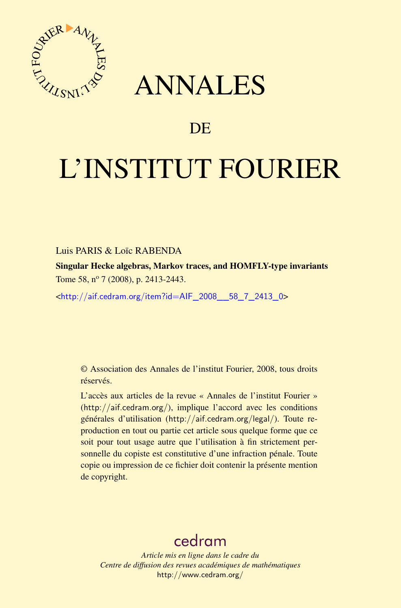

## ANNALES

## **DE**

# L'INSTITUT FOURIER

#### Luis PARIS & Loïc RABENDA

Singular Hecke algebras, Markov traces, and HOMFLY-type invariants Tome 58, nº 7 (2008), p. 2413-2443.

<[http://aif.cedram.org/item?id=AIF\\_2008\\_\\_58\\_7\\_2413\\_0](http://aif.cedram.org/item?id=AIF_2008__58_7_2413_0)>

© Association des Annales de l'institut Fourier, 2008, tous droits réservés.

L'accès aux articles de la revue « Annales de l'institut Fourier » (<http://aif.cedram.org/>), implique l'accord avec les conditions générales d'utilisation (<http://aif.cedram.org/legal/>). Toute reproduction en tout ou partie cet article sous quelque forme que ce soit pour tout usage autre que l'utilisation à fin strictement personnelle du copiste est constitutive d'une infraction pénale. Toute copie ou impression de ce fichier doit contenir la présente mention de copyright.

## [cedram](http://www.cedram.org/)

*Article mis en ligne dans le cadre du Centre de diffusion des revues académiques de mathématiques* <http://www.cedram.org/>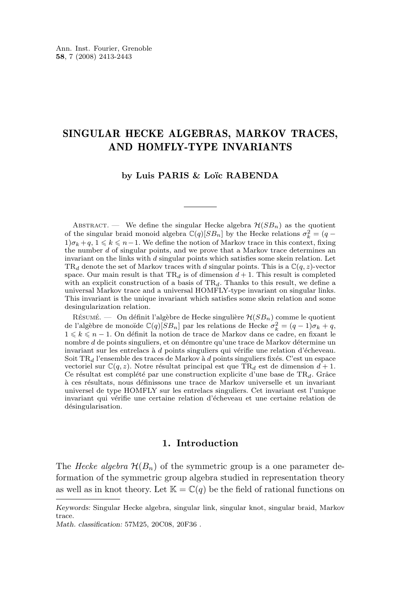#### SINGULAR HECKE ALGEBRAS, MARKOV TRACES, AND HOMFLY-TYPE INVARIANTS

#### **by Luis PARIS & Loïc RABENDA**

ABSTRACT. — We define the singular Hecke algebra  $\mathcal{H}(SB_n)$  as the quotient of the singular braid monoid algebra  $\mathbb{C}(q)[SB_n]$  by the Hecke relations  $\sigma_k^2 = (q 1\{\sigma_k+q, 1\leq k\leq n-1\}$ . We define the notion of Markov trace in this context, fixing the number d of singular points, and we prove that a Markov trace determines an invariant on the links with d singular points which satisfies some skein relation. Let  $TR_d$  denote the set of Markov traces with d singular points. This is a  $\mathbb{C}(q, z)$ -vector space. Our main result is that  $TR<sub>d</sub>$  is of dimension  $d+1$ . This result is completed with an explicit construction of a basis of  $TR_d$ . Thanks to this result, we define a universal Markov trace and a universal HOMFLY-type invariant on singular links. This invariant is the unique invariant which satisfies some skein relation and some desingularization relation.

RÉSUMÉ. — On définit l'algèbre de Hecke singulière  $\mathcal{H}(SB_n)$  comme le quotient de l'algèbre de monoïde  $\mathbb{C}(q)[SB_n]$  par les relations de Hecke  $\sigma_k^2 = (q-1)\sigma_k + q$ ,  $1 \leq k \leq n-1$ . On définit la notion de trace de Markov dans ce cadre, en fixant le nombre d de points singuliers, et on démontre qu'une trace de Markov détermine un invariant sur les entrelacs à d points singuliers qui vérifie une relation d'écheveau. Soit  $\mathrm{TR}_d$  l'ensemble des traces de Markov à  $d$  points singuliers fixés. C'est un espace vectoriel sur  $\mathbb{C}(q, z)$ . Notre résultat principal est que TR<sub>d</sub> est de dimension  $d+1$ . Ce résultat est complété par une construction explicite d'une base de  $TR_d$ . Grâce à ces résultats, nous définissons une trace de Markov universelle et un invariant universel de type HOMFLY sur les entrelacs singuliers. Cet invariant est l'unique invariant qui vérifie une certaine relation d'écheveau et une certaine relation de désingularisation.

#### **1. Introduction**

The *Hecke algebra*  $\mathcal{H}(B_n)$  of the symmetric group is a one parameter deformation of the symmetric group algebra studied in representation theory as well as in knot theory. Let  $\mathbb{K} = \mathbb{C}(q)$  be the field of rational functions on

*Keywords:* Singular Hecke algebra, singular link, singular knot, singular braid, Markov trace.

*Math. classification:* 57M25, 20C08, 20F36 .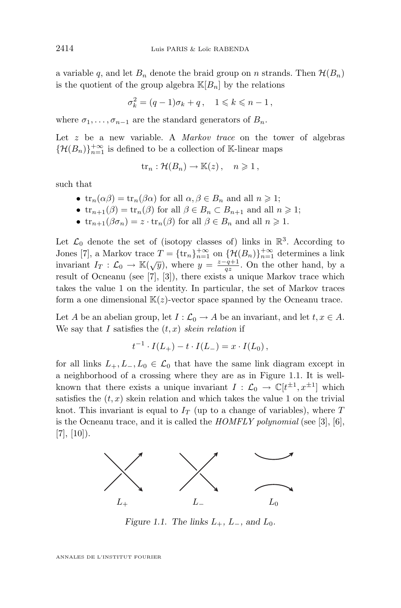a variable q, and let  $B_n$  denote the braid group on n strands. Then  $\mathcal{H}(B_n)$ is the quotient of the group algebra  $\mathbb{K}[B_n]$  by the relations

$$
\sigma_k^2 = (q-1)\sigma_k + q \,, \quad 1 \leq k \leq n-1 \,,
$$

where  $\sigma_1, \ldots, \sigma_{n-1}$  are the standard generators of  $B_n$ .

Let z be a new variable. A *Markov trace* on the tower of algebras  $\{\mathcal{H}(B_n)\}_{n=1}^{+\infty}$  is defined to be a collection of K-linear maps

$$
\text{tr}_n: \mathcal{H}(B_n) \to \mathbb{K}(z), \quad n \geqslant 1,
$$

such that

- $\operatorname{tr}_n(\alpha\beta) = \operatorname{tr}_n(\beta\alpha)$  for all  $\alpha, \beta \in B_n$  and all  $n \geq 1$ ;
- $\operatorname{tr}_{n+1}(\beta) = \operatorname{tr}_n(\beta)$  for all  $\beta \in B_n \subset B_{n+1}$  and all  $n \geq 1$ ;
- $\operatorname{tr}_{n+1}(\beta \sigma_n) = z \cdot \operatorname{tr}_n(\beta)$  for all  $\beta \in B_n$  and all  $n \geq 1$ .

Let  $\mathcal{L}_0$  denote the set of (isotopy classes of) links in  $\mathbb{R}^3$ . According to Jones [\[7\]](#page-31-0), a Markov trace  $T = {\{\text{tr}_n\}}_{n=1}^{+\infty}$  on  ${\{\mathcal{H}(B_n)\}}_{n=1}^{+\infty}$  determines a link invariant  $I_T : \mathcal{L}_0 \to \mathbb{K}(\sqrt{y})$ , where  $y = \frac{z-q+1}{qz}$ . On the other hand, by a result of Ocneanu (see [\[7\]](#page-31-0), [\[3\]](#page-30-0)), there exists a unique Markov trace which takes the value 1 on the identity. In particular, the set of Markov traces form a one dimensional  $K(z)$ -vector space spanned by the Ocneanu trace.

Let A be an abelian group, let  $I : \mathcal{L}_0 \to A$  be an invariant, and let  $t, x \in A$ . We say that I satisfies the  $(t, x)$  *skein relation* if

$$
t^{-1} \cdot I(L_+) - t \cdot I(L_-) = x \cdot I(L_0),
$$

for all links  $L_+, L_-, L_0 \in \mathcal{L}_0$  that have the same link diagram except in a neighborhood of a crossing where they are as in Figure 1.1. It is wellknown that there exists a unique invariant  $I: \mathcal{L}_0 \to \mathbb{C}[t^{\pm 1}, x^{\pm 1}]$  which satisfies the  $(t, x)$  skein relation and which takes the value 1 on the trivial knot. This invariant is equal to  $I_T$  (up to a change of variables), where T is the Ocneanu trace, and it is called the *HOMFLY polynomial* (see [\[3\]](#page-30-0), [\[6\]](#page-30-0),  $[7], [10]$  $[7], [10]$  $[7], [10]$ .



*Figure 1.1.* The links  $L_{+}$ ,  $L_{-}$ , and  $L_{0}$ .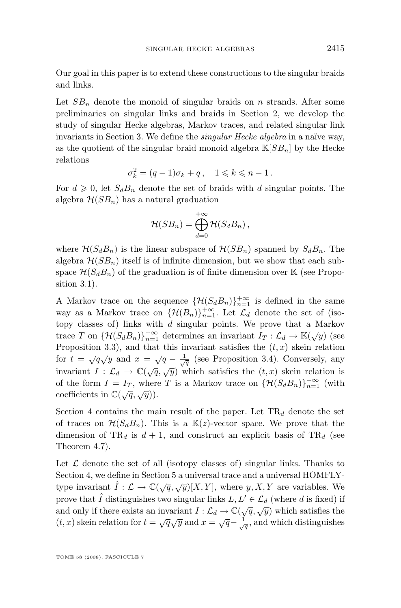Our goal in this paper is to extend these constructions to the singular braids and links.

Let  $SB_n$  denote the monoid of singular braids on n strands. After some preliminaries on singular links and braids in Section 2, we develop the study of singular Hecke algebras, Markov traces, and related singular link invariants in Section 3. We define the *singular Hecke algebra* in a naïve way, as the quotient of the singular braid monoid algebra  $\mathbb{K}[SB_n]$  by the Hecke relations

$$
\sigma_k^2 = (q-1)\sigma_k + q \,, \quad 1 \leq k \leq n-1 \,.
$$

For  $d \geq 0$ , let  $S_d B_n$  denote the set of braids with d singular points. The algebra  $\mathcal{H}(SB_n)$  has a natural graduation

$$
\mathcal{H}(SB_n)=\bigoplus_{d=0}^{+\infty}\mathcal{H}(S_dB_n)\,,
$$

where  $\mathcal{H}(S_dB_n)$  is the linear subspace of  $\mathcal{H}(SB_n)$  spanned by  $S_dB_n$ . The algebra  $\mathcal{H}(SB_n)$  itself is of infinite dimension, but we show that each subspace  $\mathcal{H}(S_dB_n)$  of the graduation is of finite dimension over K (see Proposition [3.1\)](#page-7-0).

A Markov trace on the sequence  $\{\mathcal{H}(S_dB_n)\}_{n=1}^{+\infty}$  is defined in the same way as a Markov trace on  $\{\mathcal{H}(B_n)\}_{n=1}^{+\infty}$ . Let  $\mathcal{L}_d$  denote the set of (isotopy classes of) links with  $d$  singular points. We prove that a Markov trace T on  $\{\mathcal{H}(S_dB_n)\}_{n=1}^{+\infty}$  determines an invariant  $I_T: \mathcal{L}_d \to \mathbb{K}(\sqrt{y})$  (see Proposition [3.3\)](#page-10-0), and that this invariant satisfies the  $(t, x)$  skein relation for  $t = \sqrt{q}\sqrt{y}$  and  $x = \sqrt{q} - \frac{1}{\sqrt{q}}$  (see Proposition [3.4\)](#page-11-0). Conversely, any invariant  $I : \mathcal{L}_d \to \mathbb{C}(\sqrt{q}, \sqrt{y})$  which satisfies the  $(t, x)$  skein relation is of the form  $I = I_T$ , where T is a Markov trace on  $\{\mathcal{H}(S_dB_n)\}_{n=1}^{+\infty}$  (with coefficients in  $\mathbb{C}(\sqrt{q}, \sqrt{y})$ .

Section 4 contains the main result of the paper. Let  $TR_d$  denote the set of traces on  $\mathcal{H}(S_dB_n)$ . This is a  $\mathbb{K}(z)$ -vector space. We prove that the dimension of TR<sub>d</sub> is  $d + 1$ , and construct an explicit basis of TR<sub>d</sub> (see Theorem [4.7\)](#page-15-0).

Let  $\mathcal L$  denote the set of all (isotopy classes of) singular links. Thanks to Section 4, we define in Section 5 a universal trace and a universal HOMFLYtype invariant  $\hat{I}: \mathcal{L} \to \mathbb{C}(\sqrt{q}, \sqrt{y})[X, Y]$ , where  $y, X, Y$  are variables. We prove that  $\tilde{I}$  distinguishes two singular links  $L, L' \in \mathcal{L}_d$  (where d is fixed) if and only if there exists an invariant  $I: \mathcal{L}_d \to \mathbb{C}(\sqrt{q}, \sqrt{y})$  which satisfies the (t, x) skein relation for  $t = \sqrt{q}\sqrt{y}$  and  $x = \sqrt{q} - \frac{1}{\sqrt{q}}$ , and which distinguishes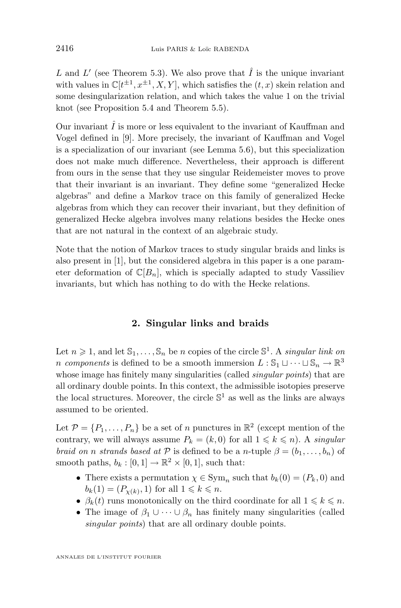L and L' (see Theorem [5.3\)](#page-27-0). We also prove that  $\hat{I}$  is the unique invariant with values in  $\mathbb{C}[t^{\pm 1}, x^{\pm 1}, X, Y]$ , which satisfies the  $(t, x)$  skein relation and some desingularization relation, and which takes the value 1 on the trivial knot (see Proposition [5.4](#page-29-0) and Theorem [5.5\)](#page-29-0).

Our invariant  $\hat{I}$  is more or less equivalent to the invariant of Kauffman and Vogel defined in [\[9\]](#page-31-0). More precisely, the invariant of Kauffman and Vogel is a specialization of our invariant (see Lemma [5.6\)](#page-30-0), but this specialization does not make much difference. Nevertheless, their approach is different from ours in the sense that they use singular Reidemeister moves to prove that their invariant is an invariant. They define some "generalized Hecke algebras" and define a Markov trace on this family of generalized Hecke algebras from which they can recover their invariant, but they definition of generalized Hecke algebra involves many relations besides the Hecke ones that are not natural in the context of an algebraic study.

Note that the notion of Markov traces to study singular braids and links is also present in [\[1\]](#page-30-0), but the considered algebra in this paper is a one parameter deformation of  $\mathbb{C}[B_n]$ , which is specially adapted to study Vassiliev invariants, but which has nothing to do with the Hecke relations.

#### **2. Singular links and braids**

Let  $n \geq 1$ , and let  $\mathbb{S}_1, \ldots, \mathbb{S}_n$  be n copies of the circle  $\mathbb{S}^1$ . A *singular link on n* components is defined to be a smooth immersion  $L : \mathbb{S}_1 \cup \cdots \cup \mathbb{S}_n \to \mathbb{R}^3$ whose image has finitely many singularities (called *singular points*) that are all ordinary double points. In this context, the admissible isotopies preserve the local structures. Moreover, the circle  $\mathbb{S}^1$  as well as the links are always assumed to be oriented.

Let  $\mathcal{P} = \{P_1, \ldots, P_n\}$  be a set of n punctures in  $\mathbb{R}^2$  (except mention of the contrary, we will always assume  $P_k = (k, 0)$  for all  $1 \leq k \leq n$ ). A *singular braid on n strands based at*  $P$  is defined to be a *n*-tuple  $\beta = (b_1, \ldots, b_n)$  of smooth paths,  $b_k : [0,1] \to \mathbb{R}^2 \times [0,1]$ , such that:

- There exists a permutation  $\chi \in \text{Sym}_n$  such that  $b_k(0) = (P_k, 0)$  and  $b_k(1) = (P_{\chi(k)}, 1)$  for all  $1 \leq k \leq n$ .
- $\beta_k(t)$  runs monotonically on the third coordinate for all  $1 \leq k \leq n$ .
- The image of  $\beta_1 \cup \cdots \cup \beta_n$  has finitely many singularities (called *singular points*) that are all ordinary double points.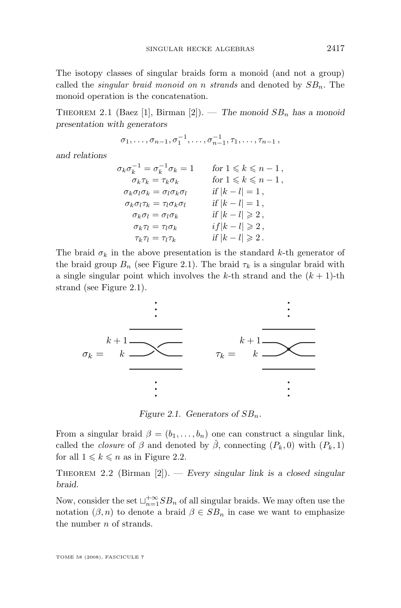<span id="page-5-0"></span>The isotopy classes of singular braids form a monoid (and not a group) called the *singular braid monoid on n strands* and denoted by  $SB_n$ . The monoid operation is the concatenation.

THEOREM 2.1 (Baez [\[1\]](#page-30-0), Birman [\[2\]](#page-30-0)). — *The monoid*  $SB_n$  *has a monoid presentation with generators*

$$
\sigma_1, \ldots, \sigma_{n-1}, \sigma_1^{-1}, \ldots, \sigma_{n-1}^{-1}, \tau_1, \ldots, \tau_{n-1}
$$

*and relations*

$$
\sigma_k \sigma_k^{-1} = \sigma_k^{-1} \sigma_k = 1 \quad \text{for } 1 \leq k \leq n-1,
$$
  
\n
$$
\sigma_k \tau_k = \tau_k \sigma_k \quad \text{for } 1 \leq k \leq n-1,
$$
  
\n
$$
\sigma_k \sigma_l \sigma_k = \sigma_l \sigma_k \sigma_l \quad \text{if } |k - l| = 1,
$$
  
\n
$$
\sigma_k \sigma_l \tau_k = \tau_l \sigma_k \sigma_l \quad \text{if } |k - l| = 1,
$$
  
\n
$$
\sigma_k \sigma_l = \sigma_l \sigma_k \quad \text{if } |k - l| \geq 2,
$$
  
\n
$$
\sigma_k \tau_l = \tau_l \sigma_k \quad \text{if } |k - l| \geq 2,
$$
  
\n
$$
\tau_k \tau_l = \tau_l \tau_k \quad \text{if } |k - l| \geq 2.
$$

The braid  $\sigma_k$  in the above presentation is the standard k-th generator of the braid group  $B_n$  (see Figure 2.1). The braid  $\tau_k$  is a singular braid with a single singular point which involves the k-th strand and the  $(k + 1)$ -th strand (see Figure 2.1).



*Figure 2.1.* Generators of  $SB_n$ .

From a singular braid  $\beta = (b_1, \ldots, b_n)$  one can construct a singular link, called the *closure* of  $\beta$  and denoted by  $\hat{\beta}$ , connecting  $(P_k, 0)$  with  $(P_k, 1)$ for all  $1 \leq k \leq n$  as in Figure [2.2.](#page-6-0)

Theorem 2.2 (Birman [\[2\]](#page-30-0)). — *Every singular link is a closed singular braid.*

Now, consider the set  $\bigcup_{n=1}^{+\infty} SB_n$  of all singular braids. We may often use the notation  $(\beta, n)$  to denote a braid  $\beta \in SB_n$  in case we want to emphasize the number *n* of strands.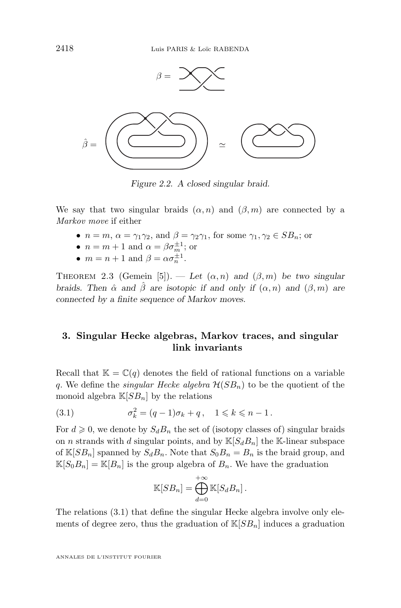<span id="page-6-0"></span>

*Figure 2.2. A closed singular braid.*

We say that two singular braids  $(\alpha, n)$  and  $(\beta, m)$  are connected by a *Markov move* if either

- $n = m$ ,  $\alpha = \gamma_1 \gamma_2$ , and  $\beta = \gamma_2 \gamma_1$ , for some  $\gamma_1, \gamma_2 \in SB_n$ ; or
- $n = m + 1$  and  $\alpha = \beta \sigma_m^{\pm 1}$ ; or
- $m = n + 1$  and  $\beta = \alpha \sigma_n^{\pm 1}$ .

THEOREM 2.3 (Gemein [\[5\]](#page-30-0)). — Let  $(\alpha, n)$  and  $(\beta, m)$  be two singular *braids. Then*  $\hat{\alpha}$  *and*  $\hat{\beta}$  *are isotopic if and only if*  $(\alpha, n)$  *and*  $(\beta, m)$  *are connected by a finite sequence of Markov moves.*

#### **3. Singular Hecke algebras, Markov traces, and singular link invariants**

Recall that  $\mathbb{K} = \mathbb{C}(q)$  denotes the field of rational functions on a variable q. We define the *singular Hecke algebra*  $\mathcal{H}(SB_n)$  to be the quotient of the monoid algebra  $\mathbb{K}[SB_n]$  by the relations

(3.1) 
$$
\sigma_k^2 = (q-1)\sigma_k + q, \quad 1 \leq k \leq n-1.
$$

For  $d \geq 0$ , we denote by  $S_d B_n$  the set of (isotopy classes of) singular braids on *n* strands with *d* singular points, and by  $\mathbb{K}[S_dB_n]$  the K-linear subspace of  $\mathbb{K}[SB_n]$  spanned by  $S_dB_n$ . Note that  $S_0B_n = B_n$  is the braid group, and  $\mathbb{K}[S_0B_n] = \mathbb{K}[B_n]$  is the group algebra of  $B_n$ . We have the graduation

$$
\mathbb{K}[SB_n] = \bigoplus_{d=0}^{+\infty} \mathbb{K}[S_d B_n].
$$

The relations (3.1) that define the singular Hecke algebra involve only elements of degree zero, thus the graduation of  $\mathbb{K}[SB_n]$  induces a graduation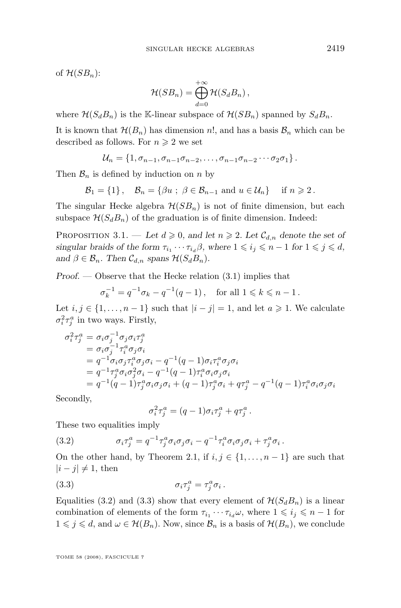<span id="page-7-0"></span>of  $\mathcal{H}(SB_n)$ :

$$
\mathcal{H}(SB_n)=\bigoplus_{d=0}^{+\infty}\mathcal{H}(S_dB_n)\,,
$$

where  $\mathcal{H}(S_dB_n)$  is the K-linear subspace of  $\mathcal{H}(SB_n)$  spanned by  $S_dB_n$ .

It is known that  $\mathcal{H}(B_n)$  has dimension n!, and has a basis  $\mathcal{B}_n$  which can be described as follows. For  $n \geq 2$  we set

$$
\mathcal{U}_n = \{1, \sigma_{n-1}, \sigma_{n-1}\sigma_{n-2}, \ldots, \sigma_{n-1}\sigma_{n-2}\cdots\sigma_2\sigma_1\}.
$$

Then  $\mathcal{B}_n$  is defined by induction on n by

$$
\mathcal{B}_1 = \{1\}, \quad \mathcal{B}_n = \{\beta u \; ; \; \beta \in \mathcal{B}_{n-1} \text{ and } u \in \mathcal{U}_n\} \quad \text{ if } n \geqslant 2.
$$

The singular Hecke algebra  $\mathcal{H}(SB_n)$  is not of finite dimension, but each subspace  $\mathcal{H}(S_dB_n)$  of the graduation is of finite dimension. Indeed:

PROPOSITION 3.1. — Let  $d \geq 0$ , and let  $n \geq 2$ . Let  $\mathcal{C}_{d,n}$  denote the set of *singular braids of the form*  $\tau_{i_1} \cdots \tau_{i_d} \beta$ , where  $1 \leq i_j \leq n-1$  for  $1 \leq j \leq d$ , and  $\beta \in \mathcal{B}_n$ . Then  $\mathcal{C}_{d,n}$  spans  $\mathcal{H}(S_dB_n)$ .

*Proof. —* Observe that the Hecke relation [\(3.1\)](#page-6-0) implies that

$$
\sigma_k^{-1} = q^{-1} \sigma_k - q^{-1} (q - 1)
$$
, for all  $1 \le k \le n - 1$ .

Let  $i, j \in \{1, \ldots, n-1\}$  such that  $|i - j| = 1$ , and let  $a \ge 1$ . We calculate  $\sigma_i^2 \tau_j^a$  in two ways. Firstly,

$$
\sigma_i^2 \tau_j^a = \sigma_i \sigma_j^{-1} \sigma_j \sigma_i \tau_j^a
$$
  
\n
$$
= \sigma_i \sigma_j^{-1} \tau_i^a \sigma_j \sigma_i
$$
  
\n
$$
= q^{-1} \sigma_i \sigma_j \tau_i^a \sigma_j \sigma_i - q^{-1} (q - 1) \sigma_i \tau_i^a \sigma_j \sigma_i
$$
  
\n
$$
= q^{-1} \tau_j^a \sigma_i \sigma_j^2 \sigma_i - q^{-1} (q - 1) \tau_i^a \sigma_i \sigma_j \sigma_i
$$
  
\n
$$
= q^{-1} (q - 1) \tau_j^a \sigma_i \sigma_j \sigma_i + (q - 1) \tau_j^a \sigma_i + q \tau_j^a - q^{-1} (q - 1) \tau_i^a \sigma_i \sigma_j \sigma_i
$$

Secondly,

$$
\sigma_i^2 \tau_j^a = (q-1)\sigma_i \tau_j^a + q\tau_j^a.
$$

These two equalities imply

(3.2) 
$$
\sigma_i \tau_j^a = q^{-1} \tau_j^a \sigma_i \sigma_j \sigma_i - q^{-1} \tau_i^a \sigma_i \sigma_j \sigma_i + \tau_j^a \sigma_i.
$$

On the other hand, by Theorem [2.1,](#page-5-0) if  $i, j \in \{1, ..., n-1\}$  are such that  $|i - j| \neq 1$ , then

(3.3) 
$$
\sigma_i \tau_j^a = \tau_j^a \sigma_i \,.
$$

Equalities (3.2) and (3.3) show that every element of  $\mathcal{H}(S_dB_n)$  is a linear combination of elements of the form  $\tau_{i_1} \cdots \tau_{i_d} \omega$ , where  $1 \leq i_j \leq n-1$  for  $1 \leq j \leq d$ , and  $\omega \in \mathcal{H}(B_n)$ . Now, since  $\mathcal{B}_n$  is a basis of  $\mathcal{H}(B_n)$ , we conclude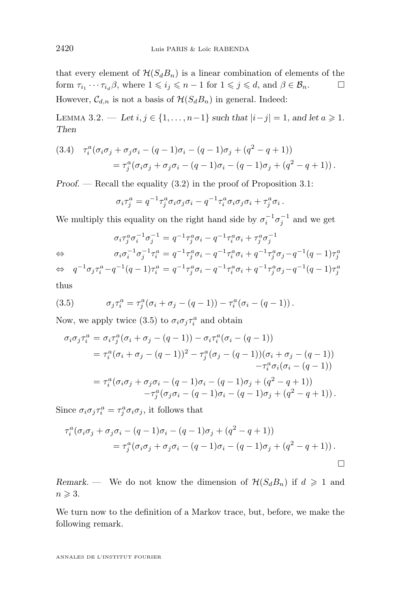<span id="page-8-0"></span>that every element of  $\mathcal{H}(S_dB_n)$  is a linear combination of elements of the form  $\tau_{i_1} \cdots \tau_{i_d} \beta$ , where  $1 \leqslant i_j \leqslant n-1$  for  $1 \leqslant j \leqslant d$ , and  $\beta \in \mathcal{B}_n$ . However,  $\mathcal{C}_{d,n}$  is not a basis of  $\mathcal{H}(S_dB_n)$  in general. Indeed:

LEMMA 3.2. — Let  $i, j \in \{1, ..., n-1\}$  *such that*  $|i-j|=1$ *, and let a* ≥ 1*. Then*

(3.4) 
$$
\tau_i^a (\sigma_i \sigma_j + \sigma_j \sigma_i - (q-1)\sigma_i - (q-1)\sigma_j + (q^2 - q + 1))
$$
  
= 
$$
\tau_j^a (\sigma_i \sigma_j + \sigma_j \sigma_i - (q-1)\sigma_i - (q-1)\sigma_j + (q^2 - q + 1)).
$$

*Proof.* — Recall the equality  $(3.2)$  in the proof of Proposition [3.1:](#page-7-0)

$$
\sigma_i \tau_j^a = q^{-1} \tau_j^a \sigma_i \sigma_j \sigma_i - q^{-1} \tau_i^a \sigma_i \sigma_j \sigma_i + \tau_j^a \sigma_i.
$$

We multiply this equality on the right hand side by  $\sigma_i^{-1} \sigma_j^{-1}$  and we get

$$
\overline{a}
$$

$$
\sigma_i \tau_j^a \sigma_i^{-1} \sigma_j^{-1} = q^{-1} \tau_j^a \sigma_i - q^{-1} \tau_i^a \sigma_i + \tau_j^a \sigma_j^{-1}
$$
  
\n
$$
\Leftrightarrow \sigma_i \sigma_i^{-1} \sigma_j^{-1} \tau_i^a = q^{-1} \tau_j^a \sigma_i - q^{-1} \tau_i^a \sigma_i + q^{-1} \tau_j^a \sigma_j - q^{-1} (q-1) \tau_j^a
$$

$$
\Leftrightarrow q^{-1}\sigma_j\tau_i^a - q^{-1}(q-1)\tau_i^a = q^{-1}\tau_j^a\sigma_i - q^{-1}\tau_i^a\sigma_i + q^{-1}\tau_j^a\sigma_j - q^{-1}(q-1)\tau_j^a
$$
 thus

(3.5) 
$$
\sigma_j \tau_i^a = \tau_j^a (\sigma_i + \sigma_j - (q-1)) - \tau_i^a (\sigma_i - (q-1)).
$$

Now, we apply twice (3.5) to  $\sigma_i \sigma_j \tau_i^a$  and obtain

$$
\sigma_i \sigma_j \tau_i^a = \sigma_i \tau_j^a (\sigma_i + \sigma_j - (q-1)) - \sigma_i \tau_i^a (\sigma_i - (q-1))
$$
  
\n
$$
= \tau_i^a (\sigma_i + \sigma_j - (q-1))^2 - \tau_j^a (\sigma_j - (q-1)) (\sigma_i + \sigma_j - (q-1))
$$
  
\n
$$
- \tau_i^a \sigma_i (\sigma_i - (q-1))
$$
  
\n
$$
= \tau_i^a (\sigma_i \sigma_j + \sigma_j \sigma_i - (q-1) \sigma_i - (q-1) \sigma_j + (q^2 - q + 1))
$$
  
\n
$$
- \tau_j^a (\sigma_j \sigma_i - (q-1) \sigma_i - (q-1) \sigma_j + (q^2 - q + 1)).
$$

Since  $\sigma_i \sigma_j \tau_i^a = \tau_j^a \sigma_i \sigma_j$ , it follows that

$$
\tau_i^a(\sigma_i \sigma_j + \sigma_j \sigma_i - (q-1)\sigma_i - (q-1)\sigma_j + (q^2 - q + 1))
$$
  
= 
$$
\tau_j^a(\sigma_i \sigma_j + \sigma_j \sigma_i - (q-1)\sigma_i - (q-1)\sigma_j + (q^2 - q + 1)).
$$

*Remark.* — We do not know the dimension of  $\mathcal{H}(S_dB_n)$  if  $d \geq 1$  and  $n \geqslant 3$ .

We turn now to the definition of a Markov trace, but, before, we make the following remark.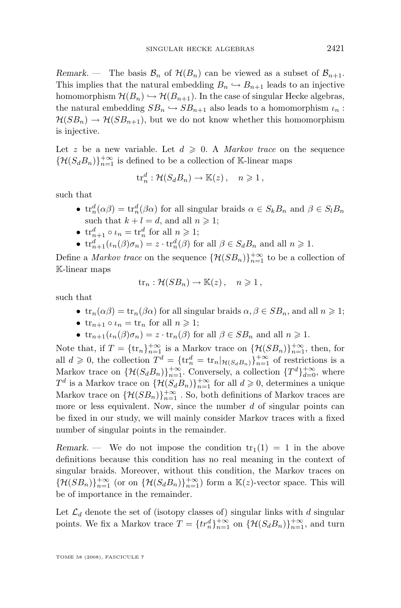*Remark.* — The basis  $\mathcal{B}_n$  of  $\mathcal{H}(B_n)$  can be viewed as a subset of  $\mathcal{B}_{n+1}$ . This implies that the natural embedding  $B_n \hookrightarrow B_{n+1}$  leads to an injective homomorphism  $\mathcal{H}(B_n) \hookrightarrow \mathcal{H}(B_{n+1})$ . In the case of singular Hecke algebras, the natural embedding  $SB_n \hookrightarrow SB_{n+1}$  also leads to a homomorphism  $\iota_n$ :  $\mathcal{H}(SB_n) \to \mathcal{H}(SB_{n+1})$ , but we do not know whether this homomorphism is injective.

Let z be a new variable. Let  $d \geq 0$ . A *Markov trace* on the sequence  ${\lbrace \mathcal{H}(S_dB_n)\rbrace}_{n=1}^{+\infty}$  is defined to be a collection of K-linear maps

$$
\mathrm{tr}_n^d: \mathcal{H}(S_d B_n) \to \mathbb{K}(z), \quad n \geqslant 1,
$$

such that

- $\text{tr}_n^d(\alpha \beta) = \text{tr}_n^d(\beta \alpha)$  for all singular braids  $\alpha \in S_k B_n$  and  $\beta \in S_l B_n$ such that  $k + l = d$ , and all  $n \ge 1$ ;
- $\operatorname{tr}_{n+1}^d \circ \iota_n = \operatorname{tr}_n^d$  for all  $n \geqslant 1$ ;
- $\operatorname{tr}_{n+1}^d(\iota_n(\beta)\sigma_n) = z \cdot \operatorname{tr}_n^d(\beta)$  for all  $\beta \in S_d B_n$  and all  $n \geq 1$ .

Define a *Markov trace* on the sequence  $\{\mathcal{H}(SB_n)\}_{n=1}^{+\infty}$  to be a collection of K-linear maps

$$
\text{tr}_n: \mathcal{H}(SB_n) \to \mathbb{K}(z), \quad n \geqslant 1,
$$

such that

- $\operatorname{tr}_n(\alpha\beta) = \operatorname{tr}_n(\beta\alpha)$  for all singular braids  $\alpha, \beta \in SB_n$ , and all  $n \geq 1$ ;
- $\operatorname{tr}_{n+1} \circ \iota_n = \operatorname{tr}_n$  for all  $n \geq 1$ ;
- $\operatorname{tr}_{n+1}(\iota_n(\beta)\sigma_n) = z \cdot \operatorname{tr}_n(\beta)$  for all  $\beta \in SB_n$  and all  $n \geqslant 1$ .

Note that, if  $T = {\{\text{tr}_n\}}_{n=1}^{+\infty}$  is a Markov trace on  ${\{\mathcal{H}(SB_n)\}}_{n=1}^{+\infty}$ , then, for all  $d \geq 0$ , the collection  $T^d = {\{\mathrm{tr}_n^d = \mathrm{tr}_n |_{\mathcal{H}(S_dB_n)}\}_{n=1}^{+\infty}}$  of restrictions is a Markov trace on  $\{\mathcal{H}(S_dB_n)\}_{n=1}^{+\infty}$ . Conversely, a collection  $\{T^d\}_{d=0}^{+\infty}$ , where  $T^d$  is a Markov trace on  $\{\mathcal{H}(S_dB_n)\}_{n=1}^{+\infty}$  for all  $d \geq 0$ , determines a unique Markov trace on  $\{\mathcal{H}(SB_n)\}_{n=1}^{+\infty}$  . So, both definitions of Markov traces are more or less equivalent. Now, since the number  $d$  of singular points can be fixed in our study, we will mainly consider Markov traces with a fixed number of singular points in the remainder.

*Remark.* — We do not impose the condition  $tr_1(1) = 1$  in the above definitions because this condition has no real meaning in the context of singular braids. Moreover, without this condition, the Markov traces on  ${\{\mathcal{H}(SB_n)\}}_{n=1}^{+\infty}$  (or on  ${\{\mathcal{H}(S_dB_n)\}}_{n=1}^{+\infty}$ ) form a  $\mathbb{K}(z)$ -vector space. This will be of importance in the remainder.

Let  $\mathcal{L}_d$  denote the set of (isotopy classes of) singular links with d singular points. We fix a Markov trace  $T = \{tr_n^d\}_{n=1}^{+\infty}$  on  $\{\mathcal{H}(S_dB_n)\}_{n=1}^{+\infty}$ , and turn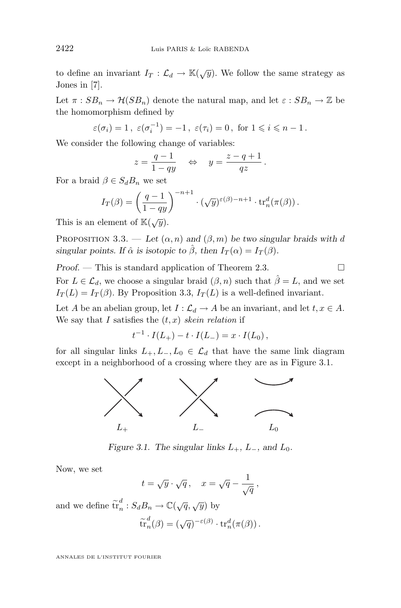<span id="page-10-0"></span>to define an invariant  $I_T : \mathcal{L}_d \to \mathbb{K}(\sqrt{y})$ . We follow the same strategy as Jones in [\[7\]](#page-31-0).

Let  $\pi : SB_n \to \mathcal{H}(SB_n)$  denote the natural map, and let  $\varepsilon : SB_n \to \mathbb{Z}$  be the homomorphism defined by

$$
\varepsilon(\sigma_i) = 1
$$
,  $\varepsilon(\sigma_i^{-1}) = -1$ ,  $\varepsilon(\tau_i) = 0$ , for  $1 \le i \le n - 1$ .

We consider the following change of variables:

$$
z = \frac{q-1}{1-qy} \quad \Leftrightarrow \quad y = \frac{z-q+1}{qz} \, .
$$

For a braid  $\beta \in S_d B_n$  we set

$$
I_T(\beta) = \left(\frac{q-1}{1-qy}\right)^{-n+1} \cdot (\sqrt{y})^{\varepsilon(\beta)-n+1} \cdot \operatorname{tr}_n^d(\pi(\beta)).
$$

This is an element of  $\mathbb{K}(\sqrt{y})$ .

PROPOSITION 3.3. — Let  $(\alpha, n)$  and  $(\beta, m)$  be two singular braids with d *singular points. If*  $\hat{\alpha}$  *is isotopic to*  $\hat{\beta}$ *, then*  $I_T(\alpha) = I_T(\beta)$ *.* 

*Proof.* − This is standard application of Theorem [2.3.](#page-6-0) □ For  $L \in \mathcal{L}_d$ , we choose a singular braid  $(\beta, n)$  such that  $\hat{\beta} = L$ , and we set  $I_T(L) = I_T(\beta)$ . By Proposition 3.3,  $I_T(L)$  is a well-defined invariant.

Let A be an abelian group, let  $I : \mathcal{L}_d \to A$  be an invariant, and let  $t, x \in A$ . We say that I satisfies the  $(t, x)$  *skein relation* if

$$
t^{-1} \cdot I(L_+) - t \cdot I(L_-) = x \cdot I(L_0),
$$

for all singular links  $L_+, L_-, L_0 \in \mathcal{L}_d$  that have the same link diagram except in a neighborhood of a crossing where they are as in Figure 3.1.



*Figure 3.1. The singular links*  $L_{+}$ ,  $L_{-}$ , and  $L_{0}$ .

Now, we set

$$
t = \sqrt{y} \cdot \sqrt{q} \,, \quad x = \sqrt{q} - \frac{1}{\sqrt{q}} \,,
$$

and we define  $\tilde{\mathrm{tr}}_n^d$  $\frac{d}{n}: S_d B_n \to \mathbb{C}(\sqrt{q}, \sqrt{y})$  by

$$
\widetilde{\operatorname{tr}}^d_n(\beta) = (\sqrt{q})^{-\varepsilon(\beta)} \cdot {\operatorname{tr}}^d_n(\pi(\beta))\,.
$$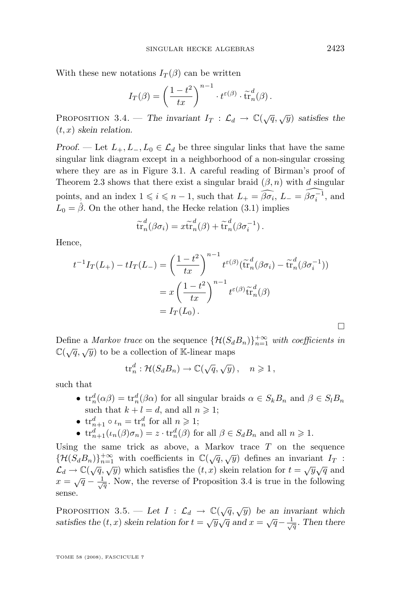<span id="page-11-0"></span>With these new notations  $I_T(\beta)$  can be written

$$
I_T(\beta) = \left(\frac{1-t^2}{tx}\right)^{n-1} \cdot t^{\varepsilon(\beta)} \cdot \widetilde{\operatorname{tr}}_n^d(\beta).
$$

PROPOSITION 3.4. — *The invariant*  $I_T : \mathcal{L}_d \to \mathbb{C}(\sqrt{q}, \sqrt{y})$  *satisfies the* (t, x) *skein relation.*

*Proof.* — Let  $L_+, L_-, L_0 \in \mathcal{L}_d$  be three singular links that have the same singular link diagram except in a neighborhood of a non-singular crossing where they are as in Figure 3.1. A careful reading of Birman's proof of Theorem [2.3](#page-6-0) shows that there exist a singular braid  $(\beta, n)$  with d singular points, and an index  $1 \leq i \leq n-1$ , such that  $L_{+} = \widehat{\beta \sigma_i}$ ,  $L_{-} = \widehat{\beta \sigma_i^{-1}}$ , and  $L_0 = \hat{\beta}$ . On the other hand, the Hecke relation [\(3.1\)](#page-6-0) implies

$$
\widetilde{\operatorname{tr}}_n^d(\beta \sigma_i) = x \widetilde{\operatorname{tr}}_n^d(\beta) + \widetilde{\operatorname{tr}}_n^d(\beta \sigma_i^{-1}).
$$

Hence,

$$
t^{-1}I_T(L_+) - tI_T(L_-) = \left(\frac{1-t^2}{tx}\right)^{n-1} t^{\varepsilon(\beta)} (\tilde{tr}_n^d(\beta \sigma_i) - \tilde{tr}_n^d(\beta \sigma_i^{-1}))
$$
  
=  $x \left(\frac{1-t^2}{tx}\right)^{n-1} t^{\varepsilon(\beta)} \tilde{tr}_n^d(\beta)$   
=  $I_T(L_0)$ .

Define a *Markov trace* on the sequence  $\{\mathcal{H}(S_dB_n)\}_{n=1}^{+\infty}$  *with coefficients in*  $\mathbb{C}(\sqrt{q}, \sqrt{y})$  to be a collection of K-linear maps

$$
\mathrm{tr}_n^d: \mathcal{H}(S_d B_n) \to \mathbb{C}(\sqrt{q}, \sqrt{y}), \quad n \geqslant 1,
$$

such that

- $\operatorname{tr}_n^d(\alpha\beta) = \operatorname{tr}_n^d(\beta\alpha)$  for all singular braids  $\alpha \in S_k B_n$  and  $\beta \in S_l B_n$ such that  $k + l = d$ , and all  $n \ge 1$ ;
- $\operatorname{tr}_{n+1}^d \circ \iota_n = \operatorname{tr}_n^d$  for all  $n \geqslant 1$ ;
- $\operatorname{tr}_{n+1}^d(\iota_n(\beta)\sigma_n) = z \cdot \operatorname{tr}_n^d(\beta)$  for all  $\beta \in S_d B_n$  and all  $n \geq 1$ .

Using the same trick as above, a Markov trace  $T$  on the sequence  $\{\mathcal{H}(S_dB_n)\}_{n=1}^{+\infty}$  with coefficients in  $\mathbb{C}(\sqrt{q},\sqrt{y})$  defines an invariant  $I_T$ :  $\mathcal{L}_d \to \mathbb{C}(\sqrt{q}, \sqrt{y})$  which satisfies the  $(t, x)$  skein relation for  $t = \sqrt{y}\sqrt{q}$  and  $x = \sqrt{q} - \frac{1}{\sqrt{q}}$ . Now, the reverse of Proposition 3.4 is true in the following sense.

PROPOSITION 3.5. — Let  $I : \mathcal{L}_d \to \mathbb{C}(\sqrt{q}, \sqrt{y})$  be an invariant which *satisfies the*  $(t, x)$  *skein relation for*  $t = \sqrt{y}\sqrt{q}$  *and*  $x = \sqrt{q} - \frac{1}{\sqrt{q}}$ . Then there

TOME 58 (2008), FASCICULE 7

 $\Box$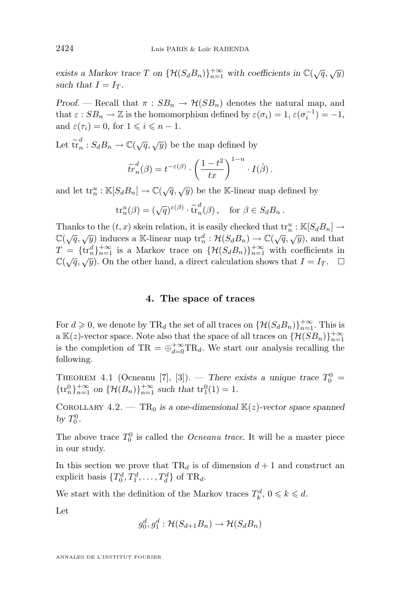<span id="page-12-0"></span>exists a Markov trace  $T$  on  $\{\mathcal{H}(S_dB_n)\}_{n=1}^{+\infty}$  with coefficients in  $\mathbb{C}(\sqrt{q}, \sqrt{y})$ such that  $I = I_T$ .

*Proof.* — Recall that  $\pi : SB_n \to \mathcal{H}(SB_n)$  denotes the natural map, and that  $\varepsilon : SB_n \to \mathbb{Z}$  is the homomorphism defined by  $\varepsilon(\sigma_i) = 1$ ,  $\varepsilon(\sigma_i^{-1}) = -1$ , and  $\varepsilon(\tau_i) = 0$ , for  $1 \leq i \leq n - 1$ .

Let  $\tilde{\mathrm{tr}}_n^d$  $_{n}^{d}:S_{d}B_{n}\rightarrow\mathbb{C}(\sqrt{q},\sqrt{y})$  be the map defined by

$$
\widetilde{tr}_n^d(\beta) = t^{-\varepsilon(\beta)} \cdot \left(\frac{1-t^2}{tx}\right)^{1-n} \cdot I(\hat{\beta}).
$$

and let  $\mathrm{tr}_n^u : \mathbb{K}[S_d B_n] \to \mathbb{C}(\sqrt{q},\sqrt{y})$  be the K-linear map defined by

$$
\operatorname{tr}_n^u(\beta) = (\sqrt{q})^{\varepsilon(\beta)} \cdot \tilde{\operatorname{tr}}_n^d(\beta), \quad \text{for } \beta \in S_d B_n \,.
$$

Thanks to the  $(t, x)$  skein relation, it is easily checked that  $\mathrm{tr}_n^u : \mathbb{K}[S_d B_n] \to$ Thanks to the  $(v, w)$  shell relation, to is easily enceived that  $\alpha_n : \alpha_{[0]} \in \mathcal{O}(\sqrt{q}, \sqrt{y})$  and that  $\mathbb{C}(\sqrt{q}, \sqrt{y})$  and that  $T = {\{ \text{tr}_n^d \}}_{n=1}^{+\infty}$  is a Markov trace on  ${\{\mathcal{H}(S_d B_n)\}}_{n=1}^{+\infty}$  with coefficients in  $\mathbb{C}(\sqrt{q}, \sqrt{y})$ . On the other hand, a direct calculation shows that  $I = I_T$ .  $\Box$ 

#### **4. The space of traces**

For  $d \geq 0$ , we denote by TR<sub>d</sub> the set of all traces on  $\{\mathcal{H}(S_dB_n)\}_{n=1}^{+\infty}$ . This is a  $\mathbb{K}(z)$ -vector space. Note also that the space of all traces on  $\{\mathcal{H}(SB_n)\}_{n=1}^{+\infty}$ is the completion of TR =  $\bigoplus_{d=0}^{+\infty}$ TR<sub>d</sub>. We start our analysis recalling the following.

THEOREM 4.1 (Ocneanu [\[7\]](#page-31-0), [\[3\]](#page-30-0)). — *There exists a unique trace*  $T_0^0$  =  ${\{\text{tr}_{n}^{0}\}}_{n=1}^{+\infty}$  on  ${\{\mathcal{H}(B_{n})\}}_{n=1}^{+\infty}$  such that  ${\text{tr}_{1}^{0}(1)} = 1$ .

COROLLARY  $4.2.$  — TR<sub>0</sub> is a one-dimensional  $\mathbb{K}(z)$ -vector space spanned *by*  $T_0^0$ .

The above trace  $T_0^0$  is called the *Ocneanu trace*. It will be a master piece in our study.

In this section we prove that  $TR_d$  is of dimension  $d+1$  and construct an explicit basis  $\{T_0^d, T_1^d, \ldots, T_d^d\}$  of TR<sub>d</sub>.

We start with the definition of the Markov traces  $T_k^d$ ,  $0 \leqslant k \leqslant d$ .

Let

$$
g_0^d, g_1^d : \mathcal{H}(S_{d+1}B_n) \to \mathcal{H}(S_dB_n)
$$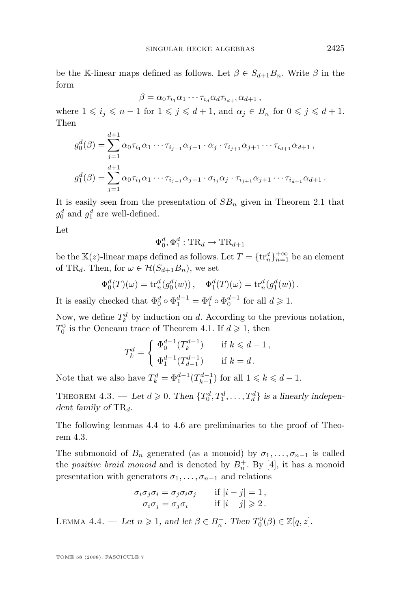<span id="page-13-0"></span>be the K-linear maps defined as follows. Let  $\beta \in S_{d+1}B_n$ . Write  $\beta$  in the form

$$
\beta = \alpha_0 \tau_{i_1} \alpha_1 \cdots \tau_{i_d} \alpha_d \tau_{i_{d+1}} \alpha_{d+1},
$$

where  $1 \leq i_j \leq n-1$  for  $1 \leq j \leq d+1$ , and  $\alpha_j \in B_n$  for  $0 \leq j \leq d+1$ . Then

$$
g_0^d(\beta) = \sum_{j=1}^{d+1} \alpha_0 \tau_{i_1} \alpha_1 \cdots \tau_{i_{j-1}} \alpha_{j-1} \cdot \alpha_j \cdot \tau_{i_{j+1}} \alpha_{j+1} \cdots \tau_{i_{d+1}} \alpha_{d+1},
$$
  

$$
g_1^d(\beta) = \sum_{j=1}^{d+1} \alpha_0 \tau_{i_1} \alpha_1 \cdots \tau_{i_{j-1}} \alpha_{j-1} \cdot \sigma_{i_j} \alpha_j \cdot \tau_{i_{j+1}} \alpha_{j+1} \cdots \tau_{i_{d+1}} \alpha_{d+1}.
$$

It is easily seen from the presentation of  $SB_n$  given in Theorem [2.1](#page-5-0) that  $g_0^d$  and  $g_1^d$  are well-defined.

Let

$$
\Phi_0^d, \Phi_1^d : \text{TR}_d \to \text{TR}_{d+1}
$$

be the  $\mathbb{K}(z)$ -linear maps defined as follows. Let  $T = \{\text{tr}_n^d\}_{n=1}^{+\infty}$  be an element of TR<sub>d</sub>. Then, for  $\omega \in \mathcal{H}(S_{d+1}B_n)$ , we set

$$
\Phi_0^d(T)(\omega) = \text{tr}_n^d(g_0^d(w)), \quad \Phi_1^d(T)(\omega) = \text{tr}_n^d(g_1^d(w)).
$$

It is easily checked that  $\Phi_0^d \circ \Phi_1^{d-1} = \Phi_1^d \circ \Phi_0^{d-1}$  for all  $d \geq 1$ .

Now, we define  $T_k^d$  by induction on d. According to the previous notation,  $T_0^0$  is the Ocneanu trace of Theorem [4.1.](#page-12-0) If  $d \geq 1$ , then

$$
T_k^d = \begin{cases} \Phi_0^{d-1}(T_k^{d-1}) & \text{if } k \leq d-1, \\ \Phi_1^{d-1}(T_{d-1}^{d-1}) & \text{if } k = d. \end{cases}
$$

Note that we also have  $T_k^d = \Phi_1^{d-1}(T_{k-1}^{d-1})$  for all  $1 \leq k \leq d-1$ .

THEOREM 4.3. — Let  $d \geqslant 0$ . Then  $\{T_0^d, T_1^d, \ldots, T_d^d\}$  is a linearly indepen*dent family of*  $TR_d$ .

The following lemmas 4.4 to [4.6](#page-15-0) are preliminaries to the proof of Theorem 4.3.

The submonoid of  $B_n$  generated (as a monoid) by  $\sigma_1, \ldots, \sigma_{n-1}$  is called the *positive braid monoid* and is denoted by  $B_n^+$ . By [\[4\]](#page-30-0), it has a monoid presentation with generators  $\sigma_1, \ldots, \sigma_{n-1}$  and relations

$$
\sigma_i \sigma_j \sigma_i = \sigma_j \sigma_i \sigma_j \quad \text{if } |i - j| = 1,
$$
  

$$
\sigma_i \sigma_j = \sigma_j \sigma_i \quad \text{if } |i - j| \geq 2.
$$

LEMMA 4.4. — Let  $n \geqslant 1$ , and let  $\beta \in B_n^+$ . Then  $T_0^0(\beta) \in \mathbb{Z}[q, z]$ .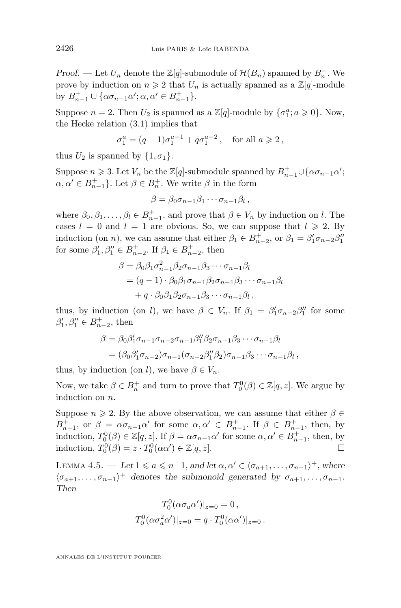*Proof.* — Let  $U_n$  denote the  $\mathbb{Z}[q]$ -submodule of  $\mathcal{H}(B_n)$  spanned by  $B_n^+$ . We prove by induction on  $n \geq 2$  that  $U_n$  is actually spanned as a  $\mathbb{Z}[q]$ -module by  $B_{n-1}^+ \cup {\alpha \sigma_{n-1} \alpha'; \alpha, \alpha' \in B_{n-1}^+}.$ 

Suppose  $n = 2$ . Then  $U_2$  is spanned as a  $\mathbb{Z}[q]$ -module by  $\{\sigma_1^a; a \geq 0\}$ . Now, the Hecke relation [\(3.1\)](#page-6-0) implies that

$$
\sigma_1^a = (q-1)\sigma_1^{a-1} + q\sigma_1^{a-2}
$$
, for all  $a \ge 2$ ,

thus  $U_2$  is spanned by  $\{1, \sigma_1\}.$ 

Suppose  $n \geqslant 3$ . Let  $V_n$  be the  $\mathbb{Z}[q]$ -submodule spanned by  $B_{n-1}^+ \cup \{\alpha \sigma_{n-1} \alpha' ;$  $\alpha, \alpha' \in B_{n-1}^+$ . Let  $\beta \in B_n^+$ . We write  $\beta$  in the form

$$
\beta = \beta_0 \sigma_{n-1} \beta_1 \cdots \sigma_{n-1} \beta_l \,,
$$

where  $\beta_0, \beta_1, \dots, \beta_l \in B_{n-1}^+$ , and prove that  $\beta \in V_n$  by induction on l. The cases  $l = 0$  and  $l = 1$  are obvious. So, we can suppose that  $l \geq 2$ . By induction (on *n*), we can assume that either  $\beta_1 \in B_{n-2}^+$ , or  $\beta_1 = \beta_1' \sigma_{n-2} \beta_1''$ for some  $\beta'_1, \beta''_1 \in B_{n-2}^+$ . If  $\beta_1 \in B_{n-2}^+$ , then

$$
\beta = \beta_0 \beta_1 \sigma_{n-1}^2 \beta_2 \sigma_{n-1} \beta_3 \cdots \sigma_{n-1} \beta_l
$$
  
=  $(q-1) \cdot \beta_0 \beta_1 \sigma_{n-1} \beta_2 \sigma_{n-1} \beta_3 \cdots \sigma_{n-1} \beta_l$   
+  $q \cdot \beta_0 \beta_1 \beta_2 \sigma_{n-1} \beta_3 \cdots \sigma_{n-1} \beta_l$ ,

thus, by induction (on l), we have  $\beta \in V_n$ . If  $\beta_1 = \beta'_1 \sigma_{n-2} \beta''_1$  for some  $\beta'_1, \beta''_1 \in B_{n-2}^+$ , then

$$
\beta = \beta_0 \beta'_1 \sigma_{n-1} \sigma_{n-2} \sigma_{n-1} \beta''_1 \beta_2 \sigma_{n-1} \beta_3 \cdots \sigma_{n-1} \beta_l
$$
  
=  $(\beta_0 \beta'_1 \sigma_{n-2}) \sigma_{n-1} (\sigma_{n-2} \beta''_1 \beta_2) \sigma_{n-1} \beta_3 \cdots \sigma_{n-1} \beta_l$ ,

thus, by induction (on l), we have  $\beta \in V_n$ .

Now, we take  $\beta \in B_n^+$  and turn to prove that  $T_0^0(\beta) \in \mathbb{Z}[q, z]$ . We argue by induction on n.

Suppose  $n \geq 2$ . By the above observation, we can assume that either  $\beta \in$  $B_{n-1}^+$ , or  $\beta = \alpha \sigma_{n-1} \alpha'$  for some  $\alpha, \alpha' \in B_{n-1}^+$ . If  $\beta \in B_{n-1}^+$ , then, by induction,  $T_0^0(\beta) \in \mathbb{Z}[q, z]$ . If  $\beta = \alpha \sigma_{n-1} \alpha'$  for some  $\alpha, \alpha' \in B_{n-1}^+$ , then, by induction,  $T_0^0(\beta) = z \cdot T_0^0(\alpha \alpha') \in \mathbb{Z}[q, z].$ 

LEMMA 4.5. — Let  $1 \leq a \leq n-1$ , and let  $\alpha, \alpha' \in \langle \sigma_{a+1}, \ldots, \sigma_{n-1} \rangle^+$ , where  $\langle \sigma_{a+1}, \ldots, \sigma_{n-1} \rangle^+$  denotes the submonoid generated by  $\sigma_{a+1}, \ldots, \sigma_{n-1}$ . *Then*

$$
T_0^0(\alpha \sigma_a \alpha')|_{z=0} = 0,
$$
  

$$
T_0^0(\alpha \sigma_a^2 \alpha')|_{z=0} = q \cdot T_0^0(\alpha \alpha')|_{z=0}.
$$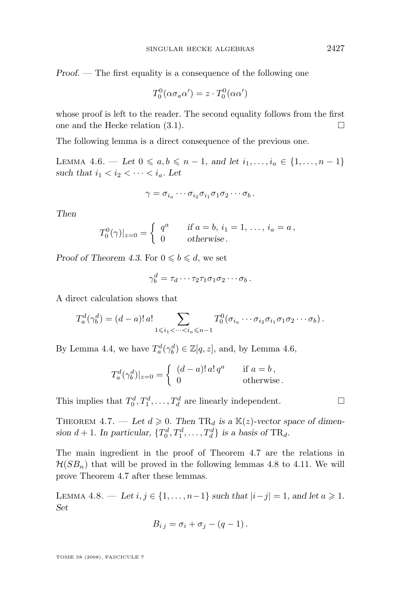<span id="page-15-0"></span>*Proof. —* The first equality is a consequence of the following one

$$
T_0^0(\alpha \sigma_a \alpha') = z \cdot T_0^0(\alpha \alpha')
$$

whose proof is left to the reader. The second equality follows from the first one and the Hecke relation  $(3.1)$ .

The following lemma is a direct consequence of the previous one.

LEMMA 4.6. — Let 0 ≤ a, b ≤ n − 1, and let  $i_1, ..., i_a$  ∈ {1, ..., n − 1} *such that*  $i_1 < i_2 < \cdots < i_a$ *. Let* 

$$
\gamma = \sigma_{i_a} \cdots \sigma_{i_2} \sigma_{i_1} \sigma_1 \sigma_2 \cdots \sigma_b.
$$

*Then*

$$
T_0^0(\gamma)|_{z=0} = \begin{cases} q^a & \text{if } a = b, i_1 = 1, \dots, i_a = a, \\ 0 & \text{otherwise.} \end{cases}
$$

*Proof of Theorem [4.3.](#page-13-0)* For  $0 \leq b \leq d$ , we set

$$
\gamma_b^d = \tau_d \cdots \tau_2 \tau_1 \sigma_1 \sigma_2 \cdots \sigma_b.
$$

A direct calculation shows that

$$
T_a^d(\gamma_b^d) = (d-a)! \, a! \sum_{1 \leq i_1 < \dots < i_a \leq n-1} T_0^0(\sigma_{i_a} \cdots \sigma_{i_2} \sigma_{i_1} \sigma_1 \sigma_2 \cdots \sigma_b).
$$

By Lemma [4.4,](#page-13-0) we have  $T_a^d(\gamma_b^d) \in \mathbb{Z}[q, z]$ , and, by Lemma 4.6,

$$
T_a^d(\gamma_b^d)|_{z=0} = \begin{cases} (d-a)! \, a! \, q^a & \text{if } a=b \,, \\ 0 & \text{otherwise} \,. \end{cases}
$$

This implies that  $T_0^d, T_1^d, \ldots, T_d^d$  are linearly independent.

THEOREM 4.7. — Let  $d \geq 0$ . Then  $TR_d$  is a  $\mathbb{K}(z)$ -vector space of dimension  $d+1$ . In particular,  $\{T_0^d, T_1^d, \ldots, T_d^d\}$  is a basis of TR<sub>d</sub>.

The main ingredient in the proof of Theorem 4.7 are the relations in  $\mathcal{H}(SB_n)$  that will be proved in the following lemmas 4.8 to [4.11.](#page-17-0) We will prove Theorem 4.7 after these lemmas.

LEMMA 4.8. — *Let*  $i, j \in \{1, ..., n-1\}$  *such that*  $|i-j|=1$ *, and let a* ≥ 1*. Set*

$$
B_{i\,j}=\sigma_i+\sigma_j-(q-1)\,.
$$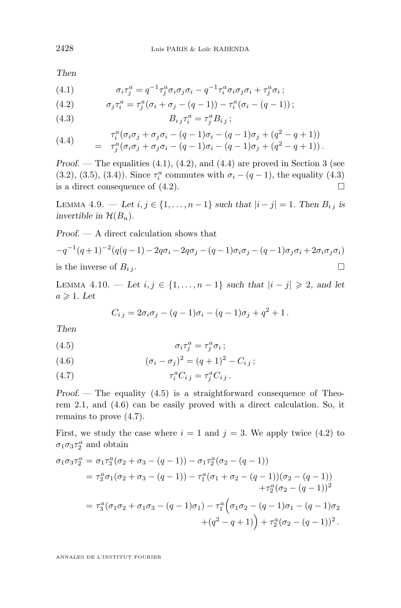<span id="page-16-0"></span>*Then*

(4.1) 
$$
\sigma_i \tau_j^a = q^{-1} \tau_j^a \sigma_i \sigma_j \sigma_i - q^{-1} \tau_i^a \sigma_i \sigma_j \sigma_i + \tau_j^a \sigma_i ;
$$

(4.2) 
$$
\sigma_j \tau_i^a = \tau_j^a (\sigma_i + \sigma_j - (q-1)) - \tau_i^a (\sigma_i - (q-1)) ;
$$

$$
(4.3) \t\t Bi j \tau_i^a = \tau_j^a B_{i j};
$$

(4.4) 
$$
\tau_i^a(\sigma_i \sigma_j + \sigma_j \sigma_i - (q-1)\sigma_i - (q-1)\sigma_j + (q^2 - q + 1))
$$

$$
= \tau_j^a(\sigma_i \sigma_j + \sigma_j \sigma_i - (q-1)\sigma_i - (q-1)\sigma_j + (q^2 - q + 1)).
$$

*Proof.* — The equalities (4.1), (4.2), and (4.4) are proved in Section 3 (see [\(3.2\)](#page-7-0), [\(3.5\)](#page-8-0), [\(3.4\)](#page-8-0)). Since  $\tau_i^a$  commutes with  $\sigma_i - (q - 1)$ , the equality (4.3) is a direct consequence of  $(4.2)$ .

LEMMA 4.9. — *Let*  $i, j \in \{1, ..., n-1\}$  *such that*  $|i - j| = 1$ *. Then*  $B_{i,j}$  *is invertible in*  $\mathcal{H}(B_n)$ *.* 

*Proof. —* A direct calculation shows that

$$
-q^{-1}(q+1)^{-2}(q(q-1)-2q\sigma_i-2q\sigma_j-(q-1)\sigma_i\sigma_j-(q-1)\sigma_j\sigma_i+2\sigma_i\sigma_j\sigma_i)
$$
  
is the inverse of  $B_{i,j}$ .

LEMMA 4.10. — Let  $i, j \in \{1, ..., n-1\}$  such that  $|i - j| \ge 2$ , and let  $a \geqslant 1$ *. Let* 

$$
C_{i\,j} = 2\sigma_i \sigma_j - (q-1)\sigma_i - (q-1)\sigma_j + q^2 + 1.
$$

*Then*

$$
\sigma_i \tau_j^a = \tau_j^a \sigma_i ;
$$

(4.6) 
$$
(\sigma_i - \sigma_j)^2 = (q+1)^2 - C_{ij};
$$

$$
(4.7) \qquad \qquad \tau_i^a C_{i j} = \tau_j^a C_{i j} .
$$

*Proof.* — The equality (4.5) is a straightforward consequence of Theorem [2.1,](#page-5-0) and (4.6) can be easily proved with a direct calculation. So, it remains to prove (4.7).

First, we study the case where  $i = 1$  and  $j = 3$ . We apply twice (4.2) to  $\sigma_1 \sigma_3 \tau_2^a$  and obtain

$$
\sigma_1 \sigma_3 \tau_2^a = \sigma_1 \tau_3^a (\sigma_2 + \sigma_3 - (q-1)) - \sigma_1 \tau_2^a (\sigma_2 - (q-1))
$$
  
\n
$$
= \tau_3^a \sigma_1 (\sigma_2 + \sigma_3 - (q-1)) - \tau_1^a (\sigma_1 + \sigma_2 - (q-1)) (\sigma_2 - (q-1))
$$
  
\n
$$
+ \tau_2^a (\sigma_2 - (q-1))^2
$$
  
\n
$$
= \tau_3^a (\sigma_1 \sigma_2 + \sigma_1 \sigma_3 - (q-1) \sigma_1) - \tau_1^a (\sigma_1 \sigma_2 - (q-1) \sigma_1 - (q-1) \sigma_2)
$$
  
\n
$$
+ (q^2 - q + 1)) + \tau_2^a (\sigma_2 - (q-1))^2.
$$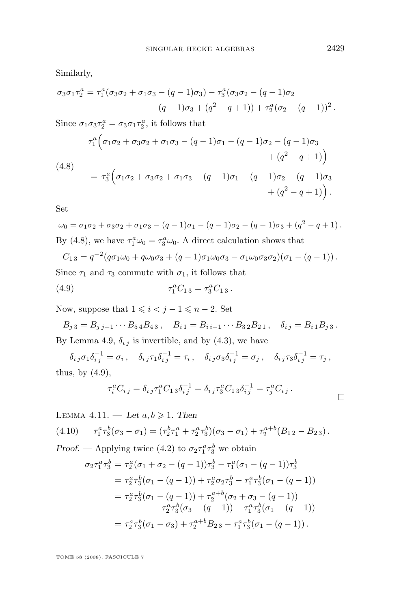<span id="page-17-0"></span>Similarly,

$$
\sigma_3 \sigma_1 \tau_2^a = \tau_1^a (\sigma_3 \sigma_2 + \sigma_1 \sigma_3 - (q-1)\sigma_3) - \tau_3^a (\sigma_3 \sigma_2 - (q-1)\sigma_2 - (q-1)\sigma_3 + (q^2 - q + 1)) + \tau_2^a (\sigma_2 - (q-1))^2.
$$

Since  $\sigma_1 \sigma_3 \tau_2^a = \sigma_3 \sigma_1 \tau_2^a$ , it follows that (4.8)  $\tau_1^a\Big(\sigma_1\sigma_2 + \sigma_3\sigma_2 + \sigma_1\sigma_3 - (q-1)\sigma_1 - (q-1)\sigma_2 - (q-1)\sigma_3$  $+(q^2-q+1)$  $= \tau_3^a\Big(\sigma_1\sigma_2 + \sigma_3\sigma_2 + \sigma_1\sigma_3 - (q-1)\sigma_1 - (q-1)\sigma_2 - (q-1)\sigma_3$  $+ (q^2 - q + 1)$ .

Set

$$
\omega_0 = \sigma_1 \sigma_2 + \sigma_3 \sigma_2 + \sigma_1 \sigma_3 - (q-1)\sigma_1 - (q-1)\sigma_2 - (q-1)\sigma_3 + (q^2 - q + 1).
$$
  
By (4.8), we have  $\tau_1^a \omega_0 = \tau_3^a \omega_0$ . A direct calculation shows that

$$
C_{1\,3} = q^{-2}(q\sigma_1\omega_0 + q\omega_0\sigma_3 + (q-1)\sigma_1\omega_0\sigma_3 - \sigma_1\omega_0\sigma_3\sigma_2)(\sigma_1 - (q-1)).
$$

Since  $\tau_1$  and  $\tau_3$  commute with  $\sigma_1$ , it follows that

(4.9) 
$$
\tau_1^a C_{13} = \tau_3^a C_{13}.
$$

Now, suppose that  $1 \leq i < j - 1 \leq n - 2$ . Set

$$
B_{j3} = B_{j j-1} \cdots B_{54} B_{43}
$$
,  $B_{i1} = B_{i i-1} \cdots B_{32} B_{21}$ ,  $\delta_{i j} = B_{i1} B_{j3}$ .  
By Lemma 4.9,  $\delta_{i j}$  is invertible, and by (4.3), we have

 $\delta_{i\,j}\sigma_1\delta^{-1}_{i\,j}=\sigma_i\,,\quad \delta_{i\,j}\tau_1\delta^{-1}_{i\,j}=\tau_i\,,\quad \delta_{i\,j}\sigma_3\delta^{-1}_{i\,j}=\sigma_j\,,\quad \delta_{i\,j}\tau_3\delta^{-1}_{i\,j}=\tau_j\,,$ thus, by  $(4.9)$ ,

$$
\tau_i^a C_{i j} = \delta_{i j} \tau_1^a C_{1 3} \delta_{i j}^{-1} = \delta_{i j} \tau_3^a C_{1 3} \delta_{i j}^{-1} = \tau_j^a C_{i j} .
$$

LEMMA 4.11.  $-\text{Let } a, b \geq 1$ . Then

$$
(4.10) \qquad \tau_1^a \tau_3^b (\sigma_3 - \sigma_1) = (\tau_2^b \tau_1^a + \tau_2^a \tau_3^b)(\sigma_3 - \sigma_1) + \tau_2^{a+b} (B_{12} - B_{23}).
$$

*Proof.* — Applying twice [\(4.2\)](#page-16-0) to  $\sigma_2 \tau_1^a \tau_3^b$  we obtain

$$
\sigma_2 \tau_1^a \tau_3^b = \tau_2^a (\sigma_1 + \sigma_2 - (q-1)) \tau_3^b - \tau_1^a (\sigma_1 - (q-1)) \tau_3^b
$$
  
\n
$$
= \tau_2^a \tau_3^b (\sigma_1 - (q-1)) + \tau_2^a \sigma_2 \tau_3^b - \tau_1^a \tau_3^b (\sigma_1 - (q-1))
$$
  
\n
$$
= \tau_2^a \tau_3^b (\sigma_1 - (q-1)) + \tau_2^{a+b} (\sigma_2 + \sigma_3 - (q-1))
$$
  
\n
$$
- \tau_2^a \tau_3^b (\sigma_3 - (q-1)) - \tau_1^a \tau_3^b (\sigma_1 - (q-1))
$$
  
\n
$$
= \tau_2^a \tau_3^b (\sigma_1 - \sigma_3) + \tau_2^{a+b} B_{23} - \tau_1^a \tau_3^b (\sigma_1 - (q-1)).
$$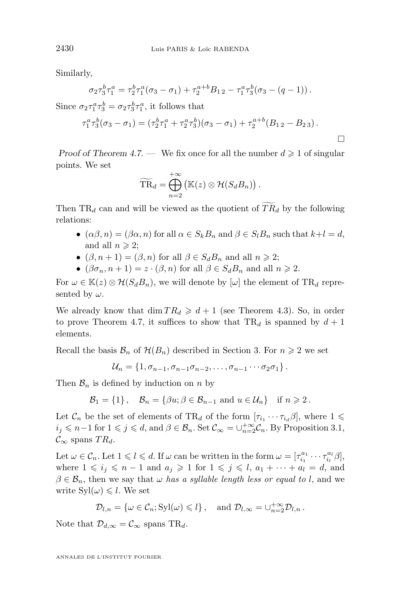Similarly,

$$
\sigma_2 \tau_3^b \tau_1^a = \tau_2^b \tau_1^a (\sigma_3 - \sigma_1) + \tau_2^{a+b} B_{12} - \tau_1^a \tau_3^b (\sigma_3 - (q-1)).
$$

Since  $\sigma_2 \tau_1^a \tau_3^b = \sigma_2 \tau_3^b \tau_1^a$ , it follows that

$$
\tau_1^a \tau_3^b (\sigma_3 - \sigma_1) = (\tau_2^b \tau_1^a + \tau_2^a \tau_3^b)(\sigma_3 - \sigma_1) + \tau_2^{a+b} (B_{12} - B_{23}).
$$

*Proof of Theorem [4.7.](#page-15-0)* — We fix once for all the number  $d \geq 1$  of singular points. We set

$$
\widetilde{\text{TR}}_d = \bigoplus_{n=2}^{+\infty} \left( \mathbb{K}(z) \otimes \mathcal{H}(S_d B_n) \right).
$$

Then  $TR_d$  can and will be viewed as the quotient of  $TR_d$  by the following relations:

- $(\alpha\beta, n) = (\beta\alpha, n)$  for all  $\alpha \in S_k B_n$  and  $\beta \in S_l B_n$  such that  $k+l = d$ , and all  $n \geqslant 2$ ;
- $(\beta, n+1) = (\beta, n)$  for all  $\beta \in S_d B_n$  and all  $n \geq 2$ ;
- $(\beta \sigma_n, n+1) = z \cdot (\beta, n)$  for all  $\beta \in S_d B_n$  and all  $n \geq 2$ .

For  $\omega \in \mathbb{K}(z) \otimes \mathcal{H}(S_d B_n)$ , we will denote by  $[\omega]$  the element of TR<sub>d</sub> represented by  $\omega$ .

We already know that  $\dim TR_d \geq d+1$  (see Theorem [4.3\)](#page-13-0). So, in order to prove Theorem [4.7,](#page-15-0) it suffices to show that  $TR_d$  is spanned by  $d+1$ elements.

Recall the basis  $\mathcal{B}_n$  of  $\mathcal{H}(B_n)$  described in Section 3. For  $n \geq 2$  we set

$$
\mathcal{U}_n = \{1, \sigma_{n-1}, \sigma_{n-1}\sigma_{n-2}, \ldots, \sigma_{n-1}\cdots \sigma_2\sigma_1\}.
$$

Then  $\mathcal{B}_n$  is defined by induction on n by

 $\mathcal{B}_1 = \{1\}$ ,  $\mathcal{B}_n = \{\beta u; \beta \in \mathcal{B}_{n-1} \text{ and } u \in \mathcal{U}_n\}$  if  $n \geq 2$ .

Let  $\mathcal{C}_n$  be the set of elements of TR<sub>d</sub> of the form  $[\tau_{i_1} \cdots \tau_{i_d} \beta]$ , where  $1 \leq$  $i_j \leq n-1$  for  $1 \leq j \leq d$ , and  $\beta \in \mathcal{B}_n$ . Set  $\mathcal{C}_{\infty} = \cup_{n=2}^{+\infty} \mathcal{C}_n$ . By Proposition [3.1,](#page-7-0)  $\mathcal{C}_{\infty}$  spans  $TR_d$ .

Let  $\omega \in \mathcal{C}_n$ . Let  $1 \leqslant l \leqslant d$ . If  $\omega$  can be written in the form  $\omega = [\tau_{i_1}^{a_1} \cdots \tau_{i_l}^{a_l} \beta],$ where  $1 \leq i_j \leq n-1$  and  $a_j \geq 1$  for  $1 \leq j \leq l$ ,  $a_1 + \cdots + a_l = d$ , and  $\beta \in \mathcal{B}_n$ , then we say that  $\omega$  *has a syllable length less or equal to l*, and we write  $Syl(\omega) \leq l$ . We set

$$
\mathcal{D}_{l,n} = \{ \omega \in \mathcal{C}_n; \mathrm{Syl}(\omega) \leq l \}, \quad \text{and } \mathcal{D}_{l,\infty} = \cup_{n=2}^{+\infty} \mathcal{D}_{l,n} \,.
$$

Note that  $\mathcal{D}_{d,\infty} = \mathcal{C}_{\infty}$  spans TR<sub>d</sub>.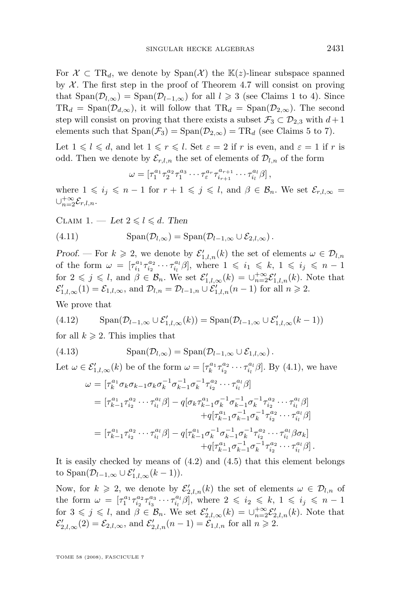<span id="page-19-0"></span>For  $\mathcal{X} \subset \text{TR}_d$ , we denote by  $\text{Span}(\mathcal{X})$  the  $\mathbb{K}(z)$ -linear subspace spanned by  $X$ . The first step in the proof of Theorem [4.7](#page-15-0) will consist on proving that  $\text{Span}(\mathcal{D}_{l,\infty}) = \text{Span}(\mathcal{D}_{l-1,\infty})$  for all  $l \geq 3$  (see Claims 1 to 4). Since  $TR_d = \text{Span}(\mathcal{D}_{d,\infty})$ , it will follow that  $TR_d = \text{Span}(\mathcal{D}_{2,\infty})$ . The second step will consist on proving that there exists a subset  $\mathcal{F}_3 \subset \mathcal{D}_{2,3}$  with  $d+1$ elements such that  $Span(\mathcal{F}_3) = Span(\mathcal{D}_{2,\infty}) = TR_d$  (see Claims 5 to 7).

Let  $1 \leq l \leq d$ , and let  $1 \leq r \leq l$ . Set  $\varepsilon = 2$  if r is even, and  $\varepsilon = 1$  if r is odd. Then we denote by  $\mathcal{E}_{r,l,n}$  the set of elements of  $\mathcal{D}_{l,n}$  of the form

$$
\omega = \left[ \tau_1^{a_1} \tau_2^{a_2} \tau_1^{a_3} \cdots \tau_{\varepsilon}^{a_r} \tau_{i_{r+1}}^{a_{r+1}} \cdots \tau_{i_l}^{a_l} \beta \right],
$$

where  $1 \leq i_j \leq n-1$  for  $r+1 \leq j \leq l$ , and  $\beta \in \mathcal{B}_n$ . We set  $\mathcal{E}_{r,l,\infty}$  = ∪ $_{n=2}^{+\infty}$  $x_{n=2}^{+\infty} \mathcal{E}_{r,l,n}.$ 

CLAIM 1. — Let  $2 \leq l \leq d$ . Then

(4.11) 
$$
\text{Span}(\mathcal{D}_{l,\infty}) = \text{Span}(\mathcal{D}_{l-1,\infty} \cup \mathcal{E}_{2,l,\infty}).
$$

*Proof.* – For  $k \geqslant 2$ , we denote by  $\mathcal{E}'_{1,l,n}(k)$  the set of elements  $\omega \in \mathcal{D}_{l,n}$ of the form  $\omega = \left[\tau_{i_1}^{a_1}\tau_{i_2}^{a_2}\cdots\tau_{i_l}^{a_l}\beta\right],$  where  $1 \leqslant i_1 \leqslant k, 1 \leqslant i_j \leqslant n-1$ for  $2 \leqslant j \leqslant l$ , and  $\beta \in \mathcal{B}_n$ . We set  $\mathcal{E}'_{1,l,\infty}(k) = \cup_{n=2}^{+\infty} \mathcal{E}'_{1,l,n}(k)$ . Note that  $\mathcal{E}'_{1,l,\infty}(1) = \mathcal{E}_{1,l,\infty}$ , and  $\mathcal{D}_{l,n} = \mathcal{D}_{l-1,n} \cup \mathcal{E}'_{1,l,n}(n-1)$  for all  $n \geqslant 2$ .

We prove that

(4.12) 
$$
\mathrm{Span}(\mathcal{D}_{l-1,\infty}\cup \mathcal{E}'_{1,l,\infty}(k))=\mathrm{Span}(\mathcal{D}_{l-1,\infty}\cup \mathcal{E}'_{1,l,\infty}(k-1))
$$

for all  $k \geqslant 2$ . This implies that

(4.13) 
$$
\text{Span}(\mathcal{D}_{l,\infty}) = \text{Span}(\mathcal{D}_{l-1,\infty} \cup \mathcal{E}_{1,l,\infty}).
$$

Let  $\omega \in \mathcal{E}'_{1,l,\infty}(k)$  be of the form  $\omega = [\tau_k^{a_1} \tau_{i_2}^{a_2} \cdots \tau_{i_l}^{a_l} \beta]$ . By [\(4.1\)](#page-16-0), we have

$$
\omega = [\tau_{k}^{a_{1}} \sigma_{k} \sigma_{k-1} \sigma_{k} \sigma_{k}^{-1} \sigma_{k-1}^{-1} \sigma_{k}^{-1} \tau_{i_{2}}^{a_{2}} \cdots \tau_{i_{l}}^{a_{l}} \beta]
$$
\n
$$
= [\tau_{k-1}^{a_{1}} \tau_{i_{2}}^{a_{2}} \cdots \tau_{i_{l}}^{a_{l}} \beta] - q[\sigma_{k} \tau_{k-1}^{a_{1}} \sigma_{k}^{-1} \sigma_{k-1}^{-1} \sigma_{k}^{-1} \tau_{i_{2}}^{a_{2}} \cdots \tau_{i_{l}}^{a_{l}} \beta]
$$
\n
$$
+ q[\tau_{k-1}^{a_{1}} \sigma_{k-1}^{-1} \sigma_{k}^{-1} \tau_{i_{2}}^{a_{2}} \cdots \tau_{i_{l}}^{a_{l}} \beta]
$$
\n
$$
= [\tau_{k-1}^{a_{1}} \tau_{i_{2}}^{a_{2}} \cdots \tau_{i_{l}}^{a_{l}} \beta] - q[\tau_{k-1}^{a_{1}} \sigma_{k}^{-1} \sigma_{k-1}^{-1} \sigma_{k}^{-1} \tau_{i_{2}}^{a_{2}} \cdots \tau_{i_{l}}^{a_{l}} \beta \sigma_{k}]
$$
\n
$$
+ q[\tau_{k-1}^{a_{1}} \sigma_{k-1}^{-1} \sigma_{k}^{-1} \tau_{i_{2}}^{a_{2}} \cdots \tau_{i_{l}}^{a_{l}} \beta].
$$

It is easily checked by means of  $(4.2)$  and  $(4.5)$  that this element belongs to Span $(\mathcal{D}_{l-1,\infty}\cup \mathcal{E}'_{1,l,\infty}(k-1)).$ 

Now, for  $k \geq 2$ , we denote by  $\mathcal{E}'_{2,l,n}(k)$  the set of elements  $\omega \in \mathcal{D}_{l,n}$  of the form  $\omega = \left[\tau_1^{a_1} \tau_{i_2}^{a_2} \tau_{i_3}^{a_3} \cdots \tau_{i_l}^{a_l} \beta\right],$  where  $2 \leqslant i_2 \leqslant k, 1 \leqslant i_j \leqslant n-1$ for  $3 \leqslant j \leqslant l$ , and  $\beta \in \mathcal{B}_n$ . We set  $\mathcal{E}'_{2,l,\infty}(k) = \cup_{n=2}^{+\infty} \mathcal{E}'_{2,l,n}(k)$ . Note that  $\mathcal{E}'_{2,l,\infty}(2) = \mathcal{E}_{2,l,\infty}$ , and  $\mathcal{E}'_{2,l,n}(n-1) = \mathcal{E}'_{1,l,n}$  for all  $n \geqslant 2$ .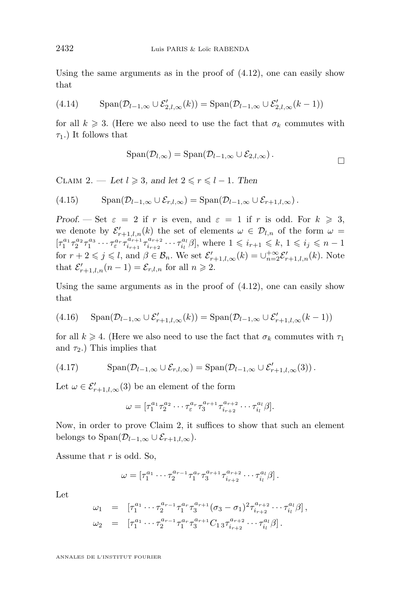Using the same arguments as in the proof of  $(4.12)$ , one can easily show that

(4.14) 
$$
\text{Span}(\mathcal{D}_{l-1,\infty} \cup \mathcal{E}'_{2,l,\infty}(k)) = \text{Span}(\mathcal{D}_{l-1,\infty} \cup \mathcal{E}'_{2,l,\infty}(k-1))
$$

for all  $k \geq 3$ . (Here we also need to use the fact that  $\sigma_k$  commutes with  $\tau_1$ .) It follows that

$$
\mathrm{Span}(\mathcal{D}_{l,\infty}) = \mathrm{Span}(\mathcal{D}_{l-1,\infty} \cup \mathcal{E}_{2,l,\infty}).
$$

CLAIM 2. — Let  $l \geq 3$ , and let  $2 \leq r \leq l-1$ . Then

(4.15) 
$$
\mathrm{Span}(\mathcal{D}_{l-1,\infty}\cup \mathcal{E}_{r,l,\infty})=\mathrm{Span}(\mathcal{D}_{l-1,\infty}\cup \mathcal{E}_{r+1,l,\infty}).
$$

*Proof.* — Set  $\varepsilon = 2$  if r is even, and  $\varepsilon = 1$  if r is odd. For  $k \geq 3$ , we denote by  $\mathcal{E}'_{r+1,l,n}(k)$  the set of elements  $\omega \in \mathcal{D}_{l,n}$  of the form  $\omega =$  $[\tau_1^{a_1} \tau_2^{a_2} \tau_1^{a_3} \cdots \tau_{\varepsilon}^{a_r} \tau_{i_{r+1}}^{a_{r+1}}]$  $\frac{a_{r+1}}{i_{r+1}} \tau^{a_{r+2}}_{i_{r+2}}$  $i_{i_{r+2}}^{a_{r+2}} \cdots \tau_{i_l}^{a_l} \beta,$  where  $1 \leqslant i_{r+1} \leqslant k, 1 \leqslant i_j \leqslant n-1$ for  $r + 2 \leqslant j \leqslant l$ , and  $\beta \in \mathcal{B}_n$ . We set  $\mathcal{E}'_{r+1,l,\infty}(k) = \bigcup_{n=2}^{+\infty} \mathcal{E}'_{r+1,l,n}(k)$ . Note that  $\mathcal{E}'_{r+1,l,n}(n-1) = \mathcal{E}_{r,l,n}$  for all  $n \geq 2$ .

Using the same arguments as in the proof of [\(4.12\)](#page-19-0), one can easily show that

(4.16) 
$$
\mathrm{Span}(\mathcal{D}_{l-1,\infty} \cup \mathcal{E}'_{r+1,l,\infty}(k)) = \mathrm{Span}(\mathcal{D}_{l-1,\infty} \cup \mathcal{E}'_{r+1,l,\infty}(k-1))
$$

for all  $k \geq 4$ . (Here we also need to use the fact that  $\sigma_k$  commutes with  $\tau_1$ and  $\tau_2$ .) This implies that

(4.17) 
$$
\mathrm{Span}(\mathcal{D}_{l-1,\infty}\cup \mathcal{E}_{r,l,\infty})=\mathrm{Span}(\mathcal{D}_{l-1,\infty}\cup \mathcal{E}'_{r+1,l,\infty}(3)).
$$

Let  $\omega \in \mathcal{E}'_{r+1,l,\infty}(3)$  be an element of the form

$$
\omega = [\tau_1^{a_1} \tau_2^{a_2} \cdots \tau_{\varepsilon}^{a_r} \tau_3^{a_{r+1}} \tau_{i_{r+2}}^{a_{r+2}} \cdots \tau_{i_l}^{a_l} \beta].
$$

Now, in order to prove Claim 2, it suffices to show that such an element belongs to Span $(\mathcal{D}_{l-1,\infty}\cup\mathcal{E}_{r+1,l,\infty}).$ 

Assume that  $r$  is odd. So,

$$
\omega = [\tau_1^{a_1} \cdots \tau_2^{a_{r-1}} \tau_1^{a_r} \tau_3^{a_{r+1}} \tau_{i_{r+2}}^{a_{r+2}} \cdots \tau_{i_l}^{a_l} \beta].
$$

Let

$$
\omega_1 = [\tau_1^{a_1} \cdots \tau_2^{a_{r-1}} \tau_1^{a_r} \tau_3^{a_{r+1}} (\sigma_3 - \sigma_1)^2 \tau_{i_{r+2}}^{a_{r+2}} \cdots \tau_{i_l}^{a_l} \beta],
$$
  
\n
$$
\omega_2 = [\tau_1^{a_1} \cdots \tau_2^{a_{r-1}} \tau_1^{a_r} \tau_3^{a_{r+1}} C_{13} \tau_{i_{r+2}}^{a_{r+2}} \cdots \tau_{i_l}^{a_l} \beta].
$$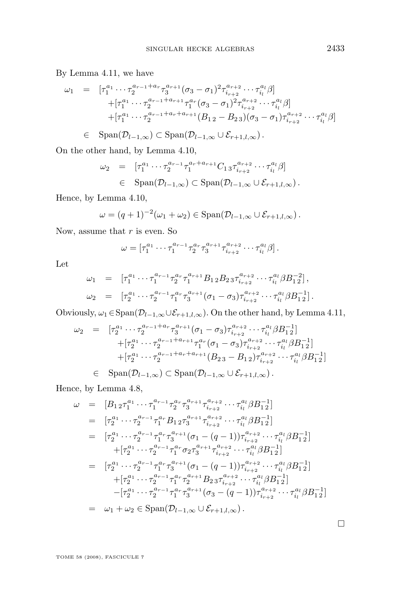By Lemma [4.11,](#page-17-0) we have

$$
\omega_1 = [\tau_1^{a_1} \cdots \tau_2^{a_{r-1}+a_r} \tau_3^{a_{r+1}} (\sigma_3 - \sigma_1)^2 \tau_{i_{r+2}}^{a_{r+2}} \cdots \tau_{i_l}^{a_l} \beta] \n+ [\tau_1^{a_1} \cdots \tau_2^{a_{r-1}+a_{r+1}} \tau_1^{a_r} (\sigma_3 - \sigma_1)^2 \tau_{i_{r+2}}^{a_{r+2}} \cdots \tau_{i_l}^{a_l} \beta] \n+ [\tau_1^{a_1} \cdots \tau_2^{a_{r-1}+a_r+a_{r+1}} (B_{12} - B_{23})(\sigma_3 - \sigma_1) \tau_{i_{r+2}}^{a_{r+2}} \cdots \tau_{i_l}^{a_l} \beta] \n\in \text{Span}(\mathcal{D}_{l-1,\infty}) \subset \text{Span}(\mathcal{D}_{l-1,\infty} \cup \mathcal{E}_{r+1,l,\infty}).
$$

On the other hand, by Lemma [4.10,](#page-16-0)

$$
\omega_2 = [\tau_1^{a_1} \cdots \tau_2^{a_{r-1}} \tau_1^{a_r + a_{r+1}} C_{13} \tau_{i_{r+2}}^{a_{r+2}} \cdots \tau_{i_l}^{a_l} \beta] \n\in \text{Span}(\mathcal{D}_{l-1,\infty}) \subset \text{Span}(\mathcal{D}_{l-1,\infty} \cup \mathcal{E}_{r+1,l,\infty}).
$$

Hence, by Lemma [4.10,](#page-16-0)

$$
\omega = (q+1)^{-2}(\omega_1 + \omega_2) \in \mathrm{Span}(\mathcal{D}_{l-1,\infty} \cup \mathcal{E}_{r+1,l,\infty}).
$$

Now, assume that  $r$  is even. So

$$
\omega = \left[ \tau_1^{a_1} \cdots \tau_1^{a_{r-1}} \tau_2^{a_r} \tau_3^{a_{r+1}} \tau_{i_{r+2}}^{a_{r+2}} \cdots \tau_{i_l}^{a_l} \beta \right].
$$

Let

$$
\omega_1 = [\tau_1^{a_1} \cdots \tau_1^{a_{r-1}} \tau_2^{a_r} \tau_1^{a_{r+1}} B_{12} B_{23} \tau_{i_{r+2}}^{a_{r+2}} \cdots \tau_{i_l}^{a_l} \beta B_{12}^{-2}],
$$
  
\n
$$
\omega_2 = [\tau_2^{a_1} \cdots \tau_2^{a_{r-1}} \tau_1^{a_r} \tau_3^{a_{r+1}} (\sigma_1 - \sigma_3) \tau_{i_{r+2}}^{a_{r+2}} \cdots \tau_{i_l}^{a_l} \beta B_{12}^{-1}].
$$

Obviously,  $\omega_1 \in \text{Span}(\mathcal{D}_{l-1,\infty} \cup \mathcal{E}_{r+1,l,\infty})$ . On the other hand, by Lemma [4.11,](#page-17-0)

$$
\begin{array}{rcl}\n\omega_2 &=& [\tau_2^{a_1} \cdots \tau_2^{a_{r-1}+a_r} \tau_3^{a_{r+1}} (\sigma_1 - \sigma_3) \tau_{i_{r+2}}^{a_{r+2}} \cdots \tau_{i_l}^{a_l} \beta B_{1\, 2}^{-1}] \\
& &+ [\tau_2^{a_1} \cdots \tau_2^{a_{r-1}+a_{r+1}} \tau_1^{a_r} (\sigma_1 - \sigma_3) \tau_{i_{r+2}}^{a_{r+2}} \cdots \tau_{i_l}^{a_l} \beta B_{1\, 2}^{-1}] \\
& &+ [\tau_2^{a_1} \cdots \tau_2^{a_{r-1}+a_r+a_{r+1}} (B_{2\, 3} - B_{1\, 2}) \tau_{i_{r+2}}^{a_{r+2}} \cdots \tau_{i_l}^{a_l} \beta B_{1\, 2}^{-1}] \\
&\in & \text{Span}(\mathcal{D}_{l-1,\infty}) \subset \text{Span}(\mathcal{D}_{l-1,\infty} \cup \mathcal{E}_{r+1,l,\infty}).\n\end{array}
$$

Hence, by Lemma [4.8,](#page-15-0)

$$
\begin{array}{rcl}\n\omega & = & [B_{1\,2}\tau_1^{a_1}\cdots\tau_1^{a_{r-1}}\tau_2^{a_r}\tau_3^{a_{r+1}}\tau_{i_{r+2}}^{a_{r+2}}\cdots\tau_{i_l}^{a_l}\beta B_{1\,2}^{-1}] \\
& = & [\tau_2^{a_1}\cdots\tau_2^{a_{r-1}}\tau_1^{a_r}B_{1\,2}\tau_3^{a_{r+1}}\tau_{i_{r+2}}^{a_{r+2}}\cdots\tau_{i_l}^{a_l}\beta B_{1\,2}^{-1}] \\
& = & [\tau_2^{a_1}\cdots\tau_2^{a_{r-1}}\tau_1^{a_r}\tau_3^{a_{r+1}}(\sigma_1-(q-1))\tau_{i_{r+2}}^{a_{r+2}}\cdots\tau_{i_l}^{a_l}\beta B_{1\,2}^{-1}] \\
& & + [\tau_2^{a_1}\cdots\tau_2^{a_{r-1}}\tau_1^{a_r}\sigma_2\tau_3^{a_{r+1}}\tau_{i_{r+2}}^{a_{r+2}}\cdots\tau_{i_l}^{a_l}\beta B_{1\,2}^{-1}] \\
& = & [\tau_2^{a_1}\cdots\tau_2^{a_{r-1}}\tau_1^{a_r}\tau_3^{a_{r+1}}(\sigma_1-(q-1))\tau_{i_{r+2}}^{a_{r+2}}\cdots\tau_{i_l}^{a_l}\beta B_{1\,2}^{-1}] \\
& + [\tau_2^{a_1}\cdots\tau_2^{a_{r-1}}\tau_1^{a_r}\tau_2^{a_{r+1}}B_{2\,3}\tau_{i_{r+2}}^{a_{r+2}}\cdots\tau_{i_l}^{a_l}\beta B_{1\,2}^{-1}] \\
& - [\tau_2^{a_1}\cdots\tau_2^{a_{r-1}}\tau_1^{a_r}\tau_3^{a_{r+1}}(\sigma_3-(q-1))\tau_{i_{r+2}}^{a_{r+2}}\cdots\tau_{i_l}^{a_l}\beta B_{1\,2}^{-1}] \\
& = & \omega_1 + \omega_2 \in \text{Span}(\mathcal{D}_{l-1,\infty} \cup \mathcal{E}_{r+1,l,\infty}).\n\end{array}
$$

 $\Box$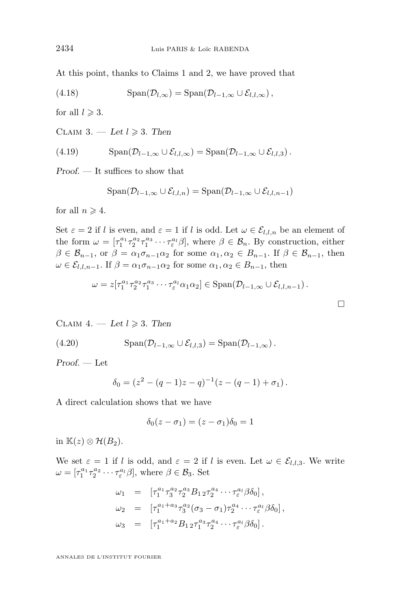At this point, thanks to Claims 1 and 2, we have proved that

(4.18) 
$$
\text{Span}(\mathcal{D}_{l,\infty}) = \text{Span}(\mathcal{D}_{l-1,\infty} \cup \mathcal{E}_{l,l,\infty}),
$$

for all  $l \geqslant 3$ .

CLAIM 3. — Let  $l \geq 3$ . Then

(4.19) 
$$
\mathrm{Span}(\mathcal{D}_{l-1,\infty}\cup \mathcal{E}_{l,l,\infty})=\mathrm{Span}(\mathcal{D}_{l-1,\infty}\cup \mathcal{E}_{l,l,3}).
$$

*Proof. —* It suffices to show that

$$
\mathrm{Span}(\mathcal{D}_{l-1,\infty}\cup \mathcal{E}_{l,l,n})=\mathrm{Span}(\mathcal{D}_{l-1,\infty}\cup \mathcal{E}_{l,l,n-1})
$$

for all  $n \geqslant 4$ .

Set  $\varepsilon = 2$  if l is even, and  $\varepsilon = 1$  if l is odd. Let  $\omega \in \mathcal{E}_{l,l,n}$  be an element of the form  $\omega = [\tau_1^{a_1} \tau_2^{a_2} \tau_1^{a_3} \cdots \tau_\varepsilon^{a_l} \beta],$  where  $\beta \in \mathcal{B}_n$ . By construction, either  $\beta \in \mathcal{B}_{n-1}$ , or  $\beta = \alpha_1 \sigma_{n-1} \alpha_2$  for some  $\alpha_1, \alpha_2 \in B_{n-1}$ . If  $\beta \in \mathcal{B}_{n-1}$ , then  $\omega \in \mathcal{E}_{l,l,n-1}$ . If  $\beta = \alpha_1 \sigma_{n-1} \alpha_2$  for some  $\alpha_1, \alpha_2 \in B_{n-1}$ , then

$$
\omega = z[\tau_1^{a_1} \tau_2^{a_2} \tau_1^{a_3} \cdots \tau_\varepsilon^{a_l} \alpha_1 \alpha_2] \in \text{Span}(\mathcal{D}_{l-1,\infty} \cup \mathcal{E}_{l,l,n-1}).
$$

 $\Box$ 

CLAIM  $4. - Let$   $l \geq 3$ . Then

(4.20) 
$$
\text{Span}(\mathcal{D}_{l-1,\infty}\cup \mathcal{E}_{l,l,3}) = \text{Span}(\mathcal{D}_{l-1,\infty}).
$$

*Proof. —* Let

$$
\delta_0 = (z^2 - (q-1)z - q)^{-1}(z - (q-1) + \sigma_1).
$$

A direct calculation shows that we have

$$
\delta_0(z-\sigma_1)=(z-\sigma_1)\delta_0=1
$$

in  $\mathbb{K}(z) \otimes \mathcal{H}(B_2)$ .

We set  $\varepsilon = 1$  if l is odd, and  $\varepsilon = 2$  if l is even. Let  $\omega \in \mathcal{E}_{l,l,3}$ . We write  $\omega = [\tau_1^{a_1} \tau_2^{a_2} \cdots \tau_{\varepsilon}^{a_l} \beta],$  where  $\beta \in \mathcal{B}_3$ . Set

$$
\omega_1 = [\tau_1^{a_1} \tau_3^{a_2} \tau_2^{a_3} B_{12} \tau_2^{a_4} \cdots \tau_\varepsilon^{a_l} \beta \delta_0],
$$
  
\n
$$
\omega_2 = [\tau_1^{a_1 + a_3} \tau_3^{a_2} (\sigma_3 - \sigma_1) \tau_2^{a_4} \cdots \tau_\varepsilon^{a_l} \beta \delta_0],
$$
  
\n
$$
\omega_3 = [\tau_1^{a_1 + a_2} B_{12} \tau_1^{a_3} \tau_2^{a_4} \cdots \tau_\varepsilon^{a_l} \beta \delta_0].
$$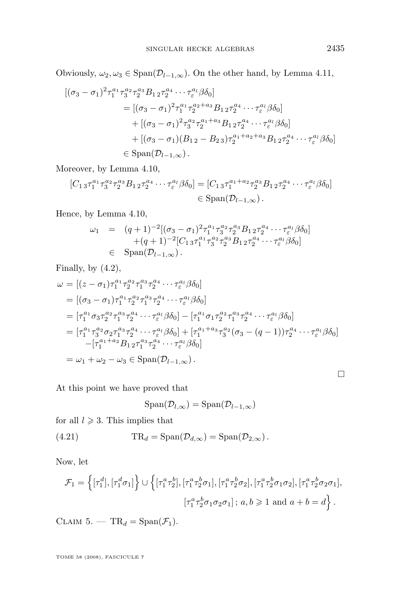Obviously,  $\omega_2, \omega_3 \in \text{Span}(\mathcal{D}_{l-1,\infty})$ . On the other hand, by Lemma [4.11,](#page-17-0)

$$
[(\sigma_3 - \sigma_1)^2 \tau_1^{a_1} \tau_3^{a_2} \tau_2^{a_3} B_{12} \tau_2^{a_4} \cdots \tau_{\varepsilon}^{a_l} \beta \delta_0]
$$
  
\n
$$
= [(\sigma_3 - \sigma_1)^2 \tau_1^{a_1} \tau_2^{a_2 + a_3} B_{12} \tau_2^{a_4} \cdots \tau_{\varepsilon}^{a_l} \beta \delta_0]
$$
  
\n
$$
+ [(\sigma_3 - \sigma_1)^2 \tau_3^{a_2} \tau_2^{a_1 + a_3} B_{12} \tau_2^{a_4} \cdots \tau_{\varepsilon}^{a_l} \beta \delta_0]
$$
  
\n
$$
+ [(\sigma_3 - \sigma_1)(B_{12} - B_{23}) \tau_2^{a_1 + a_2 + a_3} B_{12} \tau_2^{a_4} \cdots \tau_{\varepsilon}^{a_l} \beta \delta_0]
$$
  
\n
$$
\in \text{Span}(\mathcal{D}_{l-1,\infty}).
$$

Moreover, by Lemma [4.10,](#page-16-0)

$$
[C_{1\,3}\tau_1^{a_1}\tau_3^{a_2}\tau_2^{a_3}B_{1\,2}\tau_2^{a_4}\cdots\tau_\varepsilon^{a_l}\beta\delta_0] = [C_{1\,3}\tau_1^{a_1+a_2}\tau_2^{a_3}B_{1\,2}\tau_2^{a_4}\cdots\tau_\varepsilon^{a_l}\beta\delta_0] \in \text{Span}(\mathcal{D}_{l-1,\infty}).
$$

Hence, by Lemma [4.10,](#page-16-0)

$$
\omega_1 = (q+1)^{-2} [(\sigma_3 - \sigma_1)^2 \tau_1^{a_1} \tau_3^{a_2} \tau_2^{a_3} B_{12} \tau_2^{a_4} \cdots \tau_{\varepsilon}^{a_l} \beta \delta_0] + (q+1)^{-2} [C_{13} \tau_1^{a_1} \tau_3^{a_2} \tau_2^{a_3} B_{12} \tau_2^{a_4} \cdots \tau_{\varepsilon}^{a_l} \beta \delta_0]
$$
  

$$
\in \text{Span}(\mathcal{D}_{l-1,\infty}).
$$

Finally, by  $(4.2)$ ,

$$
\omega = [(z - \sigma_1)\tau_1^{a_1}\tau_2^{a_2}\tau_1^{a_3}\tau_2^{a_4}\cdots\tau_\varepsilon^{a_l}\beta\delta_0]
$$
  
\n
$$
= [(\sigma_3 - \sigma_1)\tau_1^{a_1}\tau_2^{a_2}\tau_1^{a_3}\tau_2^{a_4}\cdots\tau_\varepsilon^{a_l}\beta\delta_0]
$$
  
\n
$$
= [\tau_1^{a_1}\sigma_3\tau_2^{a_2}\tau_1^{a_3}\tau_2^{a_4}\cdots\tau_\varepsilon^{a_l}\beta\delta_0] - [\tau_1^{a_1}\sigma_1\tau_2^{a_2}\tau_1^{a_3}\tau_2^{a_4}\cdots\tau_\varepsilon^{a_l}\beta\delta_0]
$$
  
\n
$$
= [\tau_1^{a_1}\tau_3^{a_2}\sigma_2\tau_1^{a_3}\tau_2^{a_4}\cdots\tau_\varepsilon^{a_l}\beta\delta_0] + [\tau_1^{a_1+a_3}\tau_3^{a_2}(\sigma_3 - (q-1))\tau_2^{a_4}\cdots\tau_\varepsilon^{a_l}\beta\delta_0]
$$
  
\n
$$
-[\tau_1^{a_1+a_2}B_{12}\tau_1^{a_3}\tau_2^{a_4}\cdots\tau_\varepsilon^{a_l}\beta\delta_0]
$$
  
\n
$$
= \omega_1 + \omega_2 - \omega_3 \in \text{Span}(\mathcal{D}_{l-1,\infty}).
$$

At this point we have proved that

$$
\mathrm{Span}(\mathcal{D}_{l,\infty}) = \mathrm{Span}(\mathcal{D}_{l-1,\infty})
$$

for all  $l \geqslant 3$ . This implies that

(4.21) 
$$
TR_d = \text{Span}(\mathcal{D}_{d,\infty}) = \text{Span}(\mathcal{D}_{2,\infty}).
$$

Now, let

$$
\mathcal{F}_1 = \left\{ [\tau_1^d], [\tau_1^d \sigma_1] \right\} \cup \left\{ [\tau_1^a \tau_2^b], [\tau_1^a \tau_2^b \sigma_1], [\tau_1^a \tau_2^b \sigma_2], [\tau_1^a \tau_2^b \sigma_1 \sigma_2], [\tau_1^a \tau_2^b \sigma_2 \sigma_1], \right\}
$$

$$
[\tau_1^a \tau_2^b \sigma_1 \sigma_2 \sigma_1]; a, b \ge 1 \text{ and } a + b = d \right\}.
$$

CLAIM 5. —  $TR_d = \text{Span}(\mathcal{F}_1)$ .

TOME 58 (2008), FASCICULE 7

 $\Box$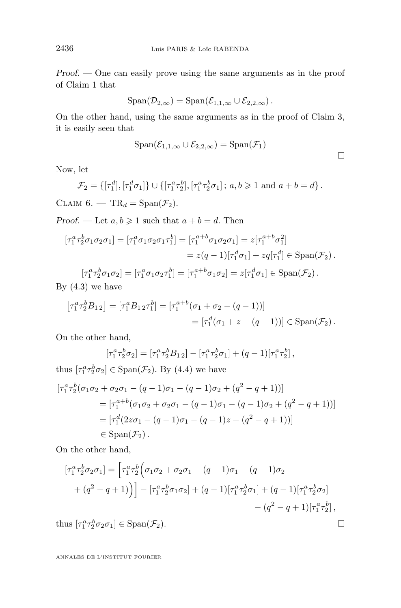*Proof. —* One can easily prove using the same arguments as in the proof of Claim 1 that

$$
\mathrm{Span}(\mathcal{D}_{2,\infty})=\mathrm{Span}(\mathcal{E}_{1,1,\infty}\cup\mathcal{E}_{2,2,\infty})\,.
$$

On the other hand, using the same arguments as in the proof of Claim 3, it is easily seen that

$$
\mathrm{Span}(\mathcal{E}_{1,1,\infty}\cup\mathcal{E}_{2,2,\infty})=\mathrm{Span}(\mathcal{F}_1)
$$

Now, let

$$
\mathcal{F}_2 = \{[\tau_1^d], [\tau_1^d \sigma_1]\} \cup \{[\tau_1^a \tau_2^b], [\tau_1^a \tau_2^b \sigma_1]; a, b \geq 1 \text{ and } a + b = d\}.
$$

CLAIM  $6. - TR_d = Span(\mathcal{F}_2)$ .

*Proof.* — Let  $a, b \ge 1$  such that  $a + b = d$ . Then

$$
\begin{aligned} \left[\tau_1^a \tau_2^b \sigma_1 \sigma_2 \sigma_1\right] &= \left[\tau_1^a \sigma_1 \sigma_2 \sigma_1 \tau_1^b\right] = \left[\tau_1^{a+b} \sigma_1 \sigma_2 \sigma_1\right] = z[\tau_1^{a+b} \sigma_1^2] \\ &= z(q-1)[\tau_1^d \sigma_1] + zq[\tau_1^d] \in \text{Span}(\mathcal{F}_2) \,. \end{aligned}
$$
\n
$$
\begin{aligned} \left[\tau_1^a \tau_2^b \sigma_1 \sigma_2\right] &= \left[\tau_1^a \sigma_1 \sigma_2 \tau_1^b\right] = \left[\tau_1^{a+b} \sigma_1 \sigma_2\right] = z[\tau_1^d \sigma_1] \in \text{Span}(\mathcal{F}_2) \,. \end{aligned}
$$

$$
\tau_1^a \tau_2^b \sigma_1 \sigma_2] = [\tau_1^a \sigma_1 \sigma_2 \tau_1^b] = [\tau_1^{a+b} \sigma_1 \sigma_2] = z[\tau_1^d \sigma_1] \in \text{Span}(\mathcal{F}_2).
$$

By  $(4.3)$  we have

$$
\begin{aligned} \left[\tau_1^a \tau_2^b B_{1\,2}\right] &= \left[\tau_1^a B_{1\,2} \tau_1^b\right] = \left[\tau_1^{a+b} (\sigma_1 + \sigma_2 - (q-1))\right] \\ &= \left[\tau_1^d (\sigma_1 + z - (q-1))\right] \in \text{Span}(\mathcal{F}_2) \,. \end{aligned}
$$

On the other hand,

$$
[\tau_1^a \tau_2^b \sigma_2] = [\tau_1^a \tau_2^b B_{12}] - [\tau_1^a \tau_2^b \sigma_1] + (q-1)[\tau_1^a \tau_2^b],
$$

thus  $[\tau_1^a \tau_2^b \sigma_2] \in \text{Span}(\mathcal{F}_2)$ . By [\(4.4\)](#page-16-0) we have

$$
\begin{aligned} \left[\tau_1^a \tau_2^b (\sigma_1 \sigma_2 + \sigma_2 \sigma_1 - (q-1)\sigma_1 - (q-1)\sigma_2 + (q^2 - q + 1))\right] \\ &= \left[\tau_1^{a+b} (\sigma_1 \sigma_2 + \sigma_2 \sigma_1 - (q-1)\sigma_1 - (q-1)\sigma_2 + (q^2 - q + 1))\right] \\ &= \left[\tau_1^d (2z\sigma_1 - (q-1)\sigma_1 - (q-1)z + (q^2 - q + 1))\right] \\ &\in \text{Span}(\mathcal{F}_2). \end{aligned}
$$

On the other hand,

$$
\begin{aligned} \left[\tau_1^a \tau_2^b \sigma_2 \sigma_1\right] &= \left[\tau_1^a \tau_2^b \left(\sigma_1 \sigma_2 + \sigma_2 \sigma_1 - (q-1)\sigma_1 - (q-1)\sigma_2\right) \right. \\ &\left. + (q^2 - q + 1)\right) \right] - \left[\tau_1^a \tau_2^b \sigma_1 \sigma_2\right] + (q-1) \left[\tau_1^a \tau_2^b \sigma_1\right] + (q-1) \left[\tau_1^a \tau_2^b \sigma_2\right] \\ &\left. - (q^2 - q + 1)\right] \left[\tau_1^a \tau_2^b\right], \end{aligned}
$$

thus  $[\tau_1^a \tau_2^b \sigma_2 \sigma_1] \in \text{Span}(\mathcal{F}_2).$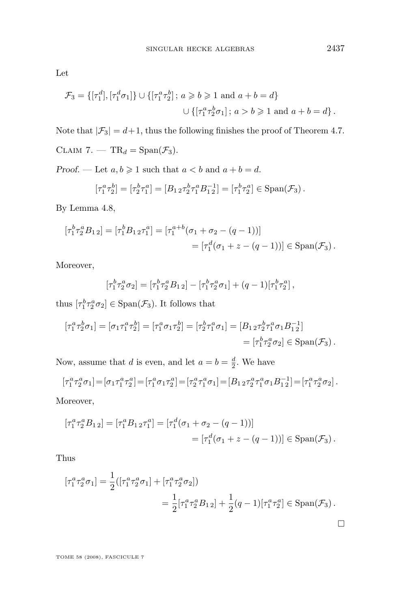Let

$$
\mathcal{F}_3 = \{ [\tau_1^d], [\tau_1^d \sigma_1] \} \cup \{ [\tau_1^a \tau_2^b]; a \ge b \ge 1 \text{ and } a + b = d \}
$$
  

$$
\cup \{ [\tau_1^a \tau_2^b \sigma_1]; a > b \ge 1 \text{ and } a + b = d \}.
$$

Note that  $|\mathcal{F}_3|=d+1,$  thus the following finishes the proof of Theorem [4.7.](#page-15-0)

CLAIM 7. —  $TR_d = \text{Span}(\mathcal{F}_3)$ .

*Proof.* — Let  $a, b \ge 1$  such that  $a < b$  and  $a + b = d$ .

$$
[\tau_1^a \tau_2^b] = [\tau_2^b \tau_1^a] = [B_{1\,2} \tau_2^b \tau_1^a B_{1\,2}^{-1}] = [\tau_1^b \tau_2^a] \in \text{Span}(\mathcal{F}_3).
$$

By Lemma [4.8,](#page-15-0)

$$
\begin{aligned} \left[\tau_1^b \tau_2^a B_{1\,2}\right] &= \left[\tau_1^b B_{1\,2} \tau_1^a\right] = \left[\tau_1^{a+b} (\sigma_1 + \sigma_2 - (q-1))\right] \\ &= \left[\tau_1^d (\sigma_1 + z - (q-1))\right] \in \text{Span}(\mathcal{F}_3) \,. \end{aligned}
$$

Moreover,

$$
[\tau_1^b \tau_2^a \sigma_2] = [\tau_1^b \tau_2^a B_{12}] - [\tau_1^b \tau_2^a \sigma_1] + (q-1)[\tau_1^b \tau_2^a],
$$

thus  $[\tau_1^b \tau_2^a \sigma_2] \in \text{Span}(\mathcal{F}_3)$ . It follows that

$$
\begin{aligned} \left[\tau_1^a \tau_2^b \sigma_1\right] &= \left[\sigma_1 \tau_1^a \tau_2^b\right] = \left[\tau_1^a \sigma_1 \tau_2^b\right] = \left[\tau_2^b \tau_1^a \sigma_1\right] = \left[B_{1\, 2} \tau_2^b \tau_1^a \sigma_1 B_{1\, 2}^{-1}\right] \\ &= \left[\tau_1^b \tau_2^a \sigma_2\right] \in \text{Span}(\mathcal{F}_3) \,. \end{aligned}
$$

Now, assume that d is even, and let  $a = b = \frac{d}{2}$ . We have

$$
[\tau_1^a \tau_2^a \sigma_1] = [\sigma_1 \tau_1^a \tau_2^a] = [\tau_1^a \sigma_1 \tau_2^a] = [\tau_2^a \tau_1^a \sigma_1] = [B_{1 \ 2} \tau_2^a \tau_1^a \sigma_1 B_{1 \ 2}^{-1}] = [\tau_1^a \tau_2^a \sigma_2].
$$

Moreover,

$$
\begin{aligned} \left[\tau_1^a \tau_2^a B_{1\,2}\right] &= \left[\tau_1^a B_{1\,2} \tau_1^a\right] = \left[\tau_1^d (\sigma_1 + \sigma_2 - (q-1))\right] \\ &= \left[\tau_1^d (\sigma_1 + z - (q-1))\right] \in \text{Span}(\mathcal{F}_3) \,. \end{aligned}
$$

Thus

$$
\begin{aligned} \left[\tau_1^a \tau_2^a \sigma_1\right] &= \frac{1}{2} \left( \left[\tau_1^a \tau_2^a \sigma_1\right] + \left[\tau_1^a \tau_2^a \sigma_2\right] \right) \\ &= \frac{1}{2} \left[\tau_1^a \tau_2^a B_{12}\right] + \frac{1}{2} (q-1) \left[\tau_1^a \tau_2^a\right] \in \text{Span}(\mathcal{F}_3) \,. \end{aligned}
$$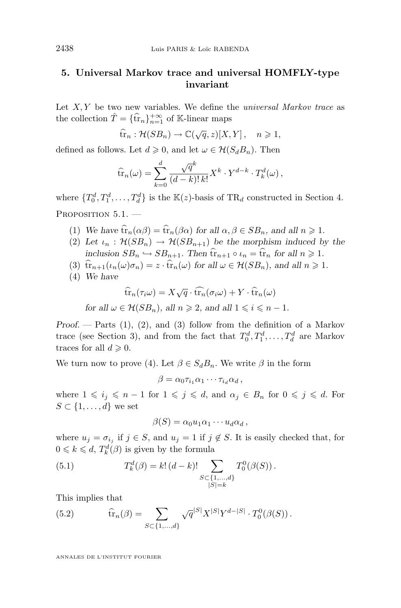#### <span id="page-26-0"></span>**5. Universal Markov trace and universal HOMFLY-type invariant**

Let X, Y be two new variables. We define the *universal Markov trace* as the collection  $\hat{T} = {\hat{\text{tr}}_n}_{n=1}^{+\infty}$  of K-linear maps

$$
\widehat{\text{tr}}_n : \mathcal{H}(SB_n) \to \mathbb{C}(\sqrt{q}, z)[X, Y], \quad n \geqslant 1,
$$

defined as follows. Let  $d \geq 0$ , and let  $\omega \in \mathcal{H}(S_d B_n)$ . Then

$$
\widehat{\text{tr}}_n(\omega) = \sum_{k=0}^d \frac{\sqrt{q}^k}{(d-k)! \, k!} X^k \cdot Y^{d-k} \cdot T_k^d(\omega),
$$

where  $\{T_0^d, T_1^d, \ldots, T_d^d\}$  is the  $\mathbb{K}(z)$ -basis of TR<sub>d</sub> constructed in Section 4. PROPOSITION  $5.1.$  -

- (1) *We have*  $\hat{\mathrm{tr}}_n(\alpha \beta) = \hat{\mathrm{tr}}_n(\beta \alpha)$  *for all*  $\alpha, \beta \in SB_n$ *, and all*  $n \geq 1$ *.*
- (2) Let  $\iota_n : \mathcal{H}(SB_n) \to \mathcal{H}(SB_{n+1})$  be the morphism induced by the *inclusion*  $SB_n \hookrightarrow SB_{n+1}$ *. Then*  $\hat{\mathrm{tr}}_{n+1} \circ \iota_n = \hat{\mathrm{tr}}_n$  *for all*  $n \geq 1$ *.*
- (3)  $\hat{\mathrm{tr}}_{n+1}(\iota_n(\omega)\sigma_n) = z \cdot \hat{\mathrm{tr}}_n(\omega)$  for all  $\omega \in \mathcal{H}(SB_n)$ , and all  $n \geq 1$ .
- (4) *We have*

$$
\widehat{\text{tr}}_n(\tau_i \omega) = X\sqrt{q} \cdot \widehat{\text{tr}_n}(\sigma_i \omega) + Y \cdot \widehat{\text{tr}}_n(\omega)
$$

*for all*  $\omega \in \mathcal{H}(SB_n)$ *, all*  $n \geq 2$ *, and all*  $1 \leq i \leq n-1$ *.* 

*Proof. —* Parts (1), (2), and (3) follow from the definition of a Markov trace (see Section 3), and from the fact that  $T_0^d, T_1^d, \ldots, T_d^d$  are Markov traces for all  $d \geqslant 0$ .

We turn now to prove (4). Let  $\beta \in S_d B_n$ . We write  $\beta$  in the form

$$
\beta = \alpha_0 \tau_{i_1} \alpha_1 \cdots \tau_{i_d} \alpha_d \,,
$$

where  $1 \leq i_j \leq n-1$  for  $1 \leq j \leq d$ , and  $\alpha_j \in B_n$  for  $0 \leq j \leq d$ . For  $S \subset \{1, \ldots, d\}$  we set

$$
\beta(S)=\alpha_0u_1\alpha_1\cdots u_d\alpha_d\,,
$$

where  $u_j = \sigma_{i_j}$  if  $j \in S$ , and  $u_j = 1$  if  $j \notin S$ . It is easily checked that, for  $0 \leq k \leq d$ ,  $T_k^d(\beta)$  is given by the formula

(5.1) 
$$
T_k^d(\beta) = k! (d-k)! \sum_{\substack{S \subset \{1,\ldots,d\} \\ |S| = k}} T_0^0(\beta(S)).
$$

This implies that

(5.2) 
$$
\widehat{\text{tr}}_n(\beta) = \sum_{S \subset \{1, ..., d\}} \sqrt{q}^{|S|} X^{|S|} Y^{d-|S|} \cdot T_0^0(\beta(S)).
$$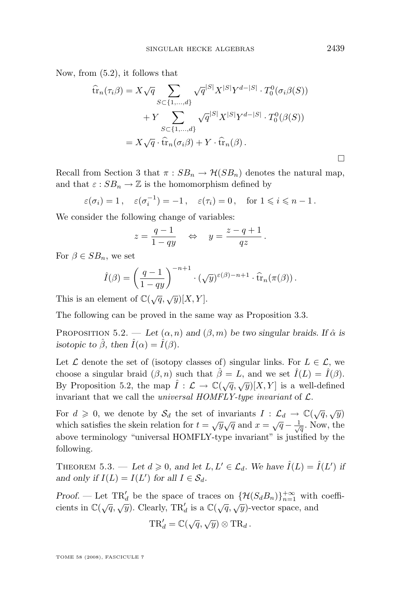<span id="page-27-0"></span>Now, from [\(5.2\)](#page-26-0), it follows that

$$
\widehat{\mathrm{tr}}_n(\tau_i \beta) = X \sqrt{q} \sum_{S \subset \{1, ..., d\}} \sqrt{q}^{|S|} X^{|S|} Y^{d-|S|} \cdot T_0^0(\sigma_i \beta(S))
$$

$$
+ Y \sum_{S \subset \{1, ..., d\}} \sqrt{q}^{|S|} X^{|S|} Y^{d-|S|} \cdot T_0^0(\beta(S))
$$

$$
= X \sqrt{q} \cdot \widehat{\mathrm{tr}}_n(\sigma_i \beta) + Y \cdot \widehat{\mathrm{tr}}_n(\beta).
$$

Recall from Section 3 that  $\pi : SB_n \to \mathcal{H}(SB_n)$  denotes the natural map, and that  $\varepsilon : SB_n \to \mathbb{Z}$  is the homomorphism defined by

$$
\varepsilon(\sigma_i) = 1
$$
,  $\varepsilon(\sigma_i^{-1}) = -1$ ,  $\varepsilon(\tau_i) = 0$ , for  $1 \le i \le n - 1$ .

We consider the following change of variables:

$$
z = \frac{q-1}{1-qy} \quad \Leftrightarrow \quad y = \frac{z-q+1}{qz}.
$$

For  $\beta \in SB_n$ , we set

$$
\hat{I}(\beta) = \left(\frac{q-1}{1-qy}\right)^{-n+1} \cdot (\sqrt{y})^{\varepsilon(\beta)-n+1} \cdot \widehat{\text{tr}}_n(\pi(\beta)).
$$

This is an element of  $\mathbb{C}(\sqrt{q}, \sqrt{y})[X, Y].$ 

The following can be proved in the same way as Proposition [3.3.](#page-10-0)

PROPOSITION 5.2. — Let  $(\alpha, n)$  and  $(\beta, m)$  be two singular braids. If  $\hat{\alpha}$  is *isotopic to*  $\hat{\beta}$ *, then*  $\hat{I}(\alpha) = \hat{I}(\beta)$ *.* 

Let  $\mathcal L$  denote the set of (isotopy classes of) singular links. For  $L \in \mathcal L$ , we choose a singular braid  $(\beta, n)$  such that  $\hat{\beta} = L$ , and we set  $\hat{I}(L) = \hat{I}(\beta)$ . By Proposition 5.2, the map  $\hat{I}: \mathcal{L} \to \mathbb{C}(\sqrt{q}, \sqrt{y})[X, Y]$  is a well-defined invariant that we call the *universal HOMFLY-type invariant* of L.

For  $d \geqslant 0$ , we denote by  $\mathcal{S}_d$  the set of invariants  $I: \mathcal{L}_d \to \mathbb{C}(\sqrt{q}, \sqrt{y})$ which satisfies the skein relation for  $t = \sqrt{y}\sqrt{q}$  and  $x = \sqrt{q} - \frac{1}{\sqrt{q}}$ . Now, the above terminology "universal HOMFLY-type invariant" is justified by the following.

THEOREM 5.3. — Let  $d \geqslant 0$ , and let  $L, L' \in \mathcal{L}_d$ . We have  $\hat{I}(L) = \hat{I}(L')$  if and only if  $I(L) = I(L')$  for all  $I \in S_d$ .

*Proof.* — Let TR'<sub>d</sub> be the space of traces on  $\{\mathcal{H}(S_dB_n)\}_{n=1}^{+\infty}$  with coefficients in  $\mathbb{C}(\sqrt{q}, \sqrt{y})$ . Clearly, TR'<sub>d</sub> is a  $\mathbb{C}(\sqrt{q}, \sqrt{y})$ -vector space, and

$$
TR'_d = \mathbb{C}(\sqrt{q}, \sqrt{y}) \otimes TR_d.
$$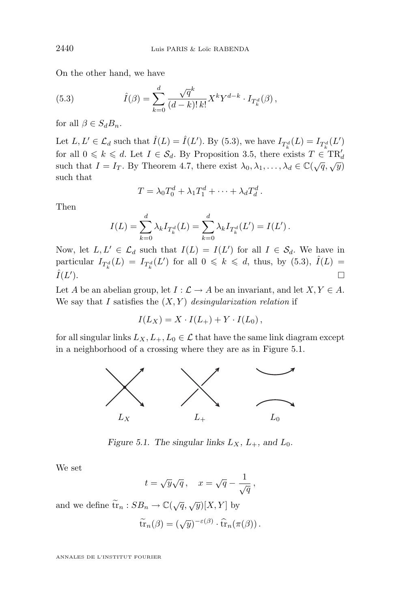On the other hand, we have

(5.3) 
$$
\hat{I}(\beta) = \sum_{k=0}^{d} \frac{\sqrt{q}^k}{(d-k)! \, k!} X^k Y^{d-k} \cdot I_{T_k^d}(\beta),
$$

for all  $\beta \in S_d B_n$ .

Let  $L, L' \in \mathcal{L}_d$  such that  $\hat{I}(L) = \hat{I}(L')$ . By (5.3), we have  $I_{T_k^d}(L) = I_{T_k^d}(L')$ for all  $0 \leq k \leq d$ . Let  $I \in S_d$ . By Proposition [3.5,](#page-11-0) there exists  $T \in TR'_d$ such that  $I = I_T$ . By Theorem [4.7,](#page-15-0) there exist  $\lambda_0, \lambda_1, ..., \lambda_d \in \mathbb{C}(\sqrt{q}, \sqrt{y})$ such that

$$
T = \lambda_0 T_0^d + \lambda_1 T_1^d + \cdots + \lambda_d T_d^d.
$$

Then

$$
I(L) = \sum_{k=0}^{d} \lambda_k I_{T_k^d}(L) = \sum_{k=0}^{d} \lambda_k I_{T_k^d}(L') = I(L').
$$

Now, let  $L, L' \in \mathcal{L}_d$  such that  $I(L) = I(L')$  for all  $I \in \mathcal{S}_d$ . We have in particular  $I_{T_k^d}(L) = I_{T_k^d}(L')$  for all  $0 \leq k \leq d$ , thus, by (5.3),  $\hat{I}(L) =$  $\hat I(L'$ ).  $\Box$ 

Let A be an abelian group, let  $I : \mathcal{L} \to A$  be an invariant, and let  $X, Y \in A$ . We say that I satisfies the  $(X, Y)$  *desingularization relation* if

$$
I(L_X) = X \cdot I(L_+) + Y \cdot I(L_0),
$$

for all singular links  $L_X, L_+, L_0 \in \mathcal{L}$  that have the same link diagram except in a neighborhood of a crossing where they are as in Figure 5.1.



*Figure 5.1. The singular links*  $L_X$ *,*  $L_+$ *, and*  $L_0$ *.* 

We set

$$
t = \sqrt{y}\sqrt{q} \,, \quad x = \sqrt{q} - \frac{1}{\sqrt{q}} \,,
$$

and we define  $\widetilde{\operatorname{tr}}_n : SB_n \to \mathbb{C}(\sqrt{q}, \sqrt{y})[X, Y]$  by

$$
\widetilde{\operatorname{tr}}_n(\beta) = (\sqrt{y})^{-\varepsilon(\beta)} \cdot \widehat{\operatorname{tr}}_n(\pi(\beta)).
$$

<span id="page-28-0"></span>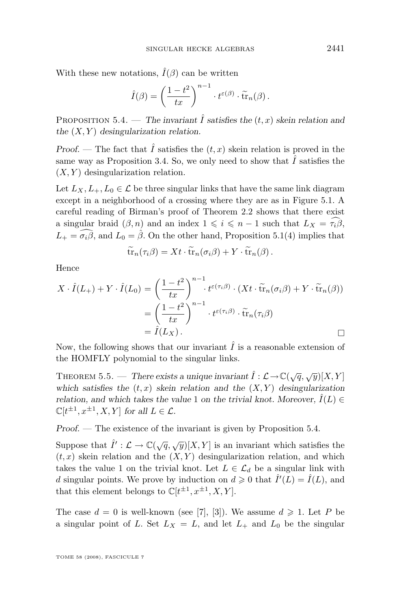<span id="page-29-0"></span>With these new notations,  $\hat{I}(\beta)$  can be written

$$
\hat{I}(\beta) = \left(\frac{1-t^2}{tx}\right)^{n-1} \cdot t^{\varepsilon(\beta)} \cdot \widetilde{\text{tr}}_n(\beta).
$$

PROPOSITION 5.4. — *The invariant*  $\hat{I}$  *satisfies the*  $(t, x)$  *skein relation and the* (X, Y ) *desingularization relation.*

*Proof.* — The fact that  $\hat{I}$  satisfies the  $(t, x)$  skein relation is proved in the same way as Proposition [3.4.](#page-11-0) So, we only need to show that  $\hat{I}$  satisfies the  $(X, Y)$  desingularization relation.

Let  $L_X, L_+, L_0 \in \mathcal{L}$  be three singular links that have the same link diagram except in a neighborhood of a crossing where they are as in Figure [5.1.](#page-28-0) A careful reading of Birman's proof of Theorem [2.2](#page-5-0) shows that there exist a singular braid  $(\beta, n)$  and an index  $1 \leq i \leq n-1$  such that  $L_X = \tilde{\tau}_i \tilde{\beta}$ ,  $L_{+} = \widehat{\sigma_{i}\beta}$ , and  $L_{0} = \widehat{\beta}$ . On the other hand, Proposition [5.1\(](#page-26-0)4) implies that

$$
\widetilde{\mathrm{tr}}_n(\tau_i\beta)=Xt\cdot\widetilde{\mathrm{tr}}_n(\sigma_i\beta)+Y\cdot\widetilde{\mathrm{tr}}_n(\beta).
$$

Hence

$$
X \cdot \hat{I}(L_{+}) + Y \cdot \hat{I}(L_{0}) = \left(\frac{1-t^{2}}{tx}\right)^{n-1} \cdot t^{\varepsilon(\tau_{i}\beta)} \cdot (Xt \cdot \tilde{\operatorname{tr}}_{n}(\sigma_{i}\beta) + Y \cdot \tilde{\operatorname{tr}}_{n}(\beta))
$$
  
=  $\left(\frac{1-t^{2}}{tx}\right)^{n-1} \cdot t^{\varepsilon(\tau_{i}\beta)} \cdot \tilde{\operatorname{tr}}_{n}(\tau_{i}\beta)$   
=  $\hat{I}(L_{X})$ .

Now, the following shows that our invariant  $\hat{I}$  is a reasonable extension of the HOMFLY polynomial to the singular links.

THEOREM 5.5. — *There exists a unique invariant*  $\hat{I}: \mathcal{L} \to \mathbb{C}(\sqrt{q}, \sqrt{y})[X, Y]$ which satisfies the  $(t, x)$  *skein relation and the*  $(X, Y)$  *desingularization relation, and which takes the value* 1 *on the trivial knot. Moreover,*  $\hat{I}(L) \in$  $\mathbb{C}[t^{\pm 1}, x^{\pm 1}, X, Y]$  for all  $L \in \mathcal{L}$ .

*Proof. —* The existence of the invariant is given by Proposition 5.4.

Suppose that  $\hat{I}': \mathcal{L} \to \mathbb{C}(\sqrt{q}, \sqrt{y})[X, Y]$  is an invariant which satisfies the  $(t, x)$  skein relation and the  $(X, Y)$  desingularization relation, and which takes the value 1 on the trivial knot. Let  $L \in \mathcal{L}_d$  be a singular link with d singular points. We prove by induction on  $d \geq 0$  that  $\hat{I}'(L) = \hat{I}(L)$ , and that this element belongs to  $\mathbb{C}[t^{\pm 1}, x^{\pm 1}, X, Y].$ 

The case  $d = 0$  is well-known (see [\[7\]](#page-31-0), [\[3\]](#page-30-0)). We assume  $d \ge 1$ . Let P be a singular point of L. Set  $L_X = L$ , and let  $L_+$  and  $L_0$  be the singular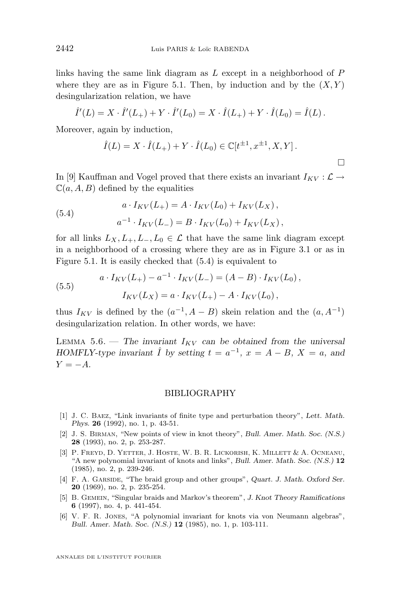links having the same link diagram as  $L$  except in a neighborhood of  $P$ where they are as in Figure [5.1.](#page-28-0) Then, by induction and by the  $(X, Y)$ desingularization relation, we have

$$
\hat{I}'(L) = X \cdot \hat{I}'(L_+) + Y \cdot \hat{I}'(L_0) = X \cdot \hat{I}(L_+) + Y \cdot \hat{I}(L_0) = \hat{I}(L).
$$

Moreover, again by induction,

$$
\hat{I}(L) = X \cdot \hat{I}(L_{+}) + Y \cdot \hat{I}(L_{0}) \in \mathbb{C}[t^{\pm 1}, x^{\pm 1}, X, Y].
$$

In [\[9\]](#page-31-0) Kauffman and Vogel proved that there exists an invariant  $I_{KV}$  :  $\mathcal{L} \rightarrow$  $\mathbb{C}(a, A, B)$  defined by the equalities

(5.4) 
$$
a \cdot I_{KV}(L_+) = A \cdot I_{KV}(L_0) + I_{KV}(L_X),
$$

$$
a^{-1} \cdot I_{KV}(L_-) = B \cdot I_{KV}(L_0) + I_{KV}(L_X),
$$

for all links  $L_X, L_+, L_-, L_0 \in \mathcal{L}$  that have the same link diagram except in a neighborhood of a crossing where they are as in Figure [3.1](#page-10-0) or as in Figure [5.1.](#page-28-0) It is easily checked that (5.4) is equivalent to

(5.5) 
$$
a \cdot I_{KV}(L_+) - a^{-1} \cdot I_{KV}(L_-) = (A - B) \cdot I_{KV}(L_0),
$$

$$
I_{KV}(L_X) = a \cdot I_{KV}(L_+) - A \cdot I_{KV}(L_0),
$$

thus  $I_{KV}$  is defined by the  $(a^{-1}, A - B)$  skein relation and the  $(a, A^{-1})$ desingularization relation. In other words, we have:

LEMMA 5.6. — The invariant  $I_{KV}$  can be obtained from the universal *HOMFLY-type invariant*  $\hat{I}$  *by setting*  $t = a^{-1}$ ,  $x = A - B$ ,  $X = a$ , and  $Y = -A$ .

#### BIBLIOGRAPHY

- [1] J. C. Baez, "Link invariants of finite type and perturbation theory", *Lett. Math. Phys.* **26** (1992), no. 1, p. 43-51.
- [2] J. S. Birman, "New points of view in knot theory", *Bull. Amer. Math. Soc. (N.S.)* **28** (1993), no. 2, p. 253-287.
- [3] P. FREYD, D. YETTER, J. HOSTE, W. B. R. LICKORISH, K. MILLETT & A. OCNEANU, "A new polynomial invariant of knots and links", *Bull. Amer. Math. Soc. (N.S.)* **12** (1985), no. 2, p. 239-246.
- [4] F. A. GARSIDE, "The braid group and other groups", *Quart. J. Math. Oxford Ser.* **20** (1969), no. 2, p. 235-254.
- [5] B. Gemein, "Singular braids and Markov's theorem", *J. Knot Theory Ramifications* **6** (1997), no. 4, p. 441-454.
- [6] V. F. R. Jones, "A polynomial invariant for knots via von Neumann algebras", *Bull. Amer. Math. Soc. (N.S.)* **12** (1985), no. 1, p. 103-111.

<span id="page-30-0"></span>